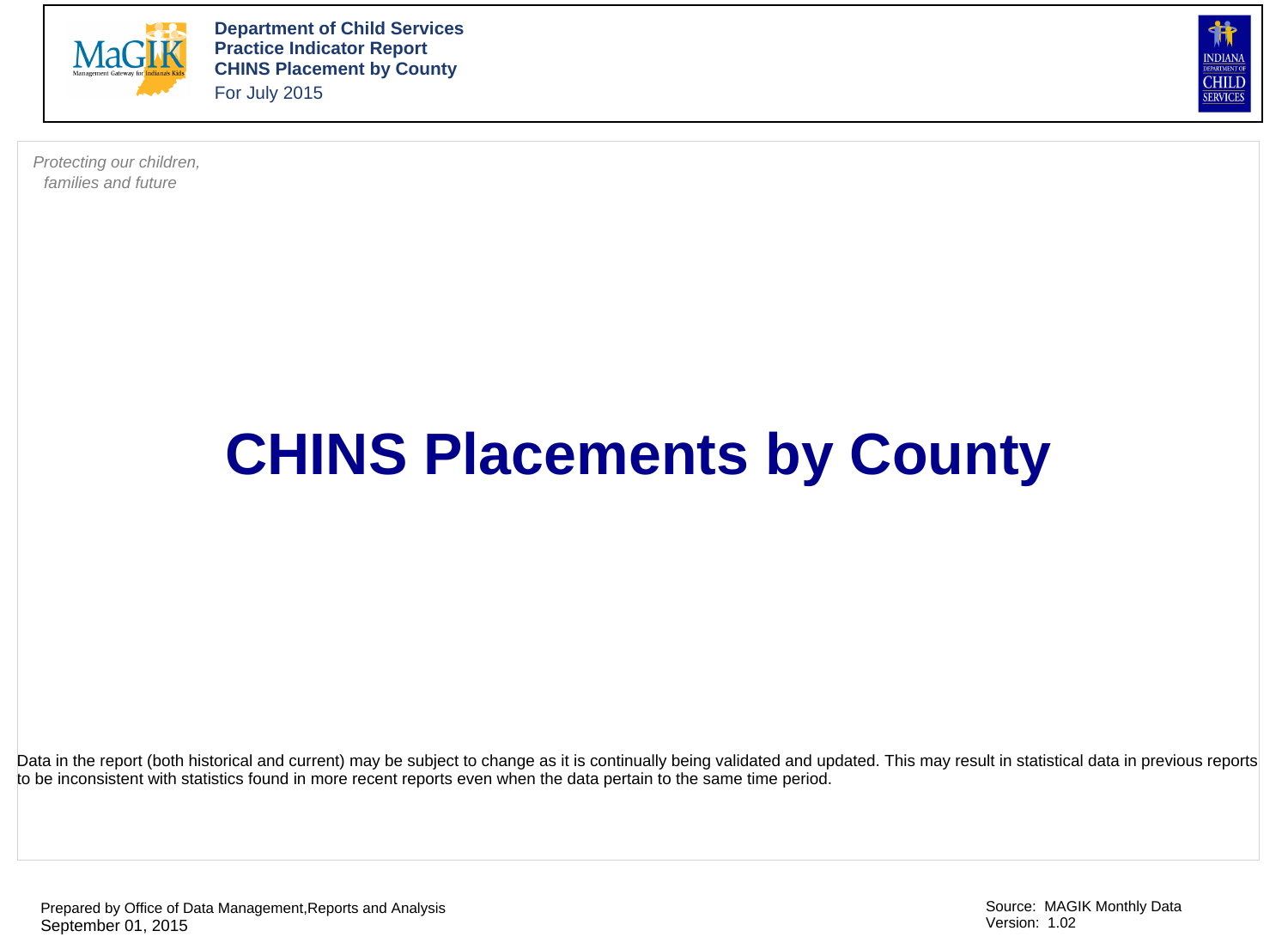

**Department of Child Services Practice Indicator Report CHINS Placement by County**  For July 2015

**NDIAN** CHILD **SERVICES** 

Protecting our children, families and future

## **CHINS Placements by County**

Data in the report (both historical and current) may be subject to change as it is continually being validated and updated. This may result in statistical data in previous reports to be inconsistent with statistics found in more recent reports even when the data pertain to the same time period.

Prepared by Office of Data Management,Reports and Analysis September 01, 2015

Source: MAGIK Monthly Data Version: 1.02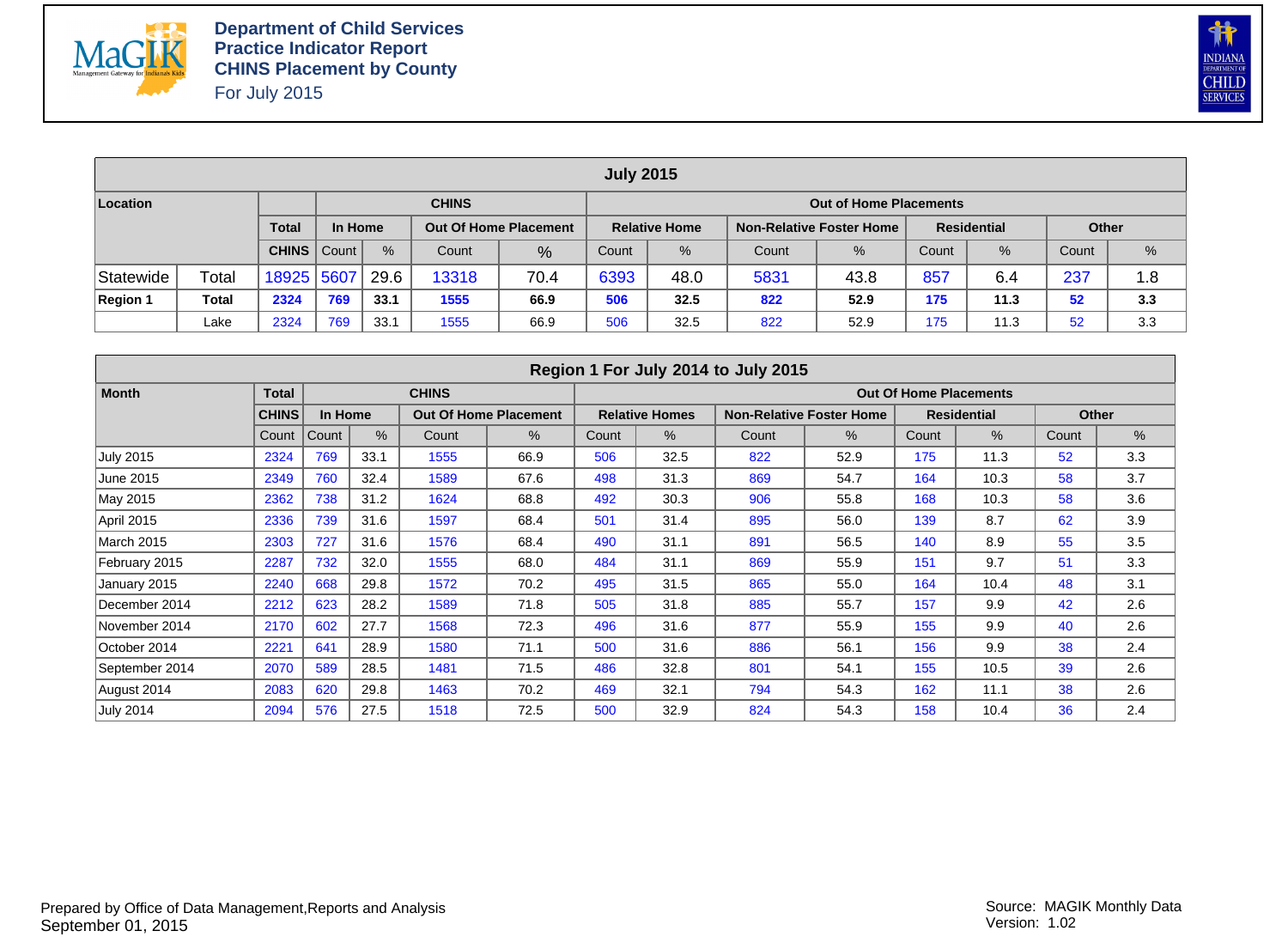



|                                                                                                                                            |              |            |     |      |              |      | <b>July 2015</b> |               |       |                               |       |               |       |     |
|--------------------------------------------------------------------------------------------------------------------------------------------|--------------|------------|-----|------|--------------|------|------------------|---------------|-------|-------------------------------|-------|---------------|-------|-----|
| Location                                                                                                                                   |              |            |     |      | <b>CHINS</b> |      |                  |               |       | <b>Out of Home Placements</b> |       |               |       |     |
| <b>Total</b><br><b>Residential</b><br>In Home<br>Non-Relative Foster Home<br><b>Out Of Home Placement</b><br><b>Relative Home</b><br>Other |              |            |     |      |              |      |                  |               |       |                               |       |               |       |     |
| $\%$<br><b>CHINS</b>   Count  <br>Count<br>$\%$                                                                                            |              |            |     |      |              |      | Count            | $\frac{9}{6}$ | Count | $\%$                          | Count | $\frac{0}{6}$ | Count | %   |
| Statewide                                                                                                                                  | Total        | 18925 5607 |     | 29.6 | 13318        | 70.4 | 6393             | 48.0          | 5831  | 43.8                          | 857   | 6.4           | 237   | 1.8 |
| <b>Region 1</b>                                                                                                                            | <b>Total</b> | 2324       | 769 | 33.1 | 1555         | 66.9 | 506              | 32.5          | 822   | 52.9                          | 175   | 11.3          | 52    | 3.3 |
|                                                                                                                                            | Lake         | 2324       | 769 | 33.1 | 1555         | 66.9 | 506              | 32.5          | 822   | 52.9                          | 175   | 11.3          | 52    | 3.3 |

|                   |              |         |      |              |                              |       |                       | Region 1 For July 2014 to July 2015 |                                 |                               |                    |       |       |
|-------------------|--------------|---------|------|--------------|------------------------------|-------|-----------------------|-------------------------------------|---------------------------------|-------------------------------|--------------------|-------|-------|
| <b>Month</b>      | <b>Total</b> |         |      | <b>CHINS</b> |                              |       |                       |                                     |                                 | <b>Out Of Home Placements</b> |                    |       |       |
|                   | <b>CHINS</b> | In Home |      |              | <b>Out Of Home Placement</b> |       | <b>Relative Homes</b> |                                     | <b>Non-Relative Foster Home</b> |                               | <b>Residential</b> |       | Other |
|                   | Count        | Count   | $\%$ | Count        | %                            | Count | %                     | Count                               | %                               | Count                         | $\%$               | Count | %     |
| <b>July 2015</b>  | 2324         | 769     | 33.1 | 1555         | 66.9                         | 506   | 32.5                  | 822                                 | 52.9                            | 175                           | 11.3               | 52    | 3.3   |
| June 2015         | 2349         | 760     | 32.4 | 1589         | 67.6                         | 498   | 31.3                  | 869                                 | 54.7                            | 164                           | 10.3               | 58    | 3.7   |
| May 2015          | 2362         | 738     | 31.2 | 1624         | 68.8                         | 492   | 30.3                  | 906                                 | 55.8                            | 168                           | 10.3               | 58    | 3.6   |
| April 2015        | 2336         | 739     | 31.6 | 1597         | 68.4                         | 501   | 31.4                  | 895                                 | 56.0                            | 139                           | 8.7                | 62    | 3.9   |
| <b>March 2015</b> | 2303         | 727     | 31.6 | 1576         | 68.4                         | 490   | 31.1                  | 891                                 | 56.5                            | 140                           | 8.9                | 55    | 3.5   |
| February 2015     | 2287         | 732     | 32.0 | 1555         | 68.0                         | 484   | 31.1                  | 869                                 | 55.9                            | 151                           | 9.7                | 51    | 3.3   |
| January 2015      | 2240         | 668     | 29.8 | 1572         | 70.2                         | 495   | 31.5                  | 865                                 | 55.0                            | 164                           | 10.4               | 48    | 3.1   |
| December 2014     | 2212         | 623     | 28.2 | 1589         | 71.8                         | 505   | 31.8                  | 885                                 | 55.7                            | 157                           | 9.9                | 42    | 2.6   |
| November 2014     | 2170         | 602     | 27.7 | 1568         | 72.3                         | 496   | 31.6                  | 877                                 | 55.9                            | 155                           | 9.9                | 40    | 2.6   |
| October 2014      | 2221         | 641     | 28.9 | 1580         | 71.1                         | 500   | 31.6                  | 886                                 | 56.1                            | 156                           | 9.9                | 38    | 2.4   |
| September 2014    | 2070         | 589     | 28.5 | 1481         | 71.5                         | 486   | 32.8                  | 801                                 | 54.1                            | 155                           | 10.5               | 39    | 2.6   |
| August 2014       | 2083         | 620     | 29.8 | 1463         | 70.2                         | 469   | 32.1                  | 794                                 | 54.3                            | 162                           | 11.1               | 38    | 2.6   |
| <b>July 2014</b>  | 2094         | 576     | 27.5 | 1518         | 72.5                         | 500   | 32.9                  | 824                                 | 54.3                            | 158                           | 10.4               | 36    | 2.4   |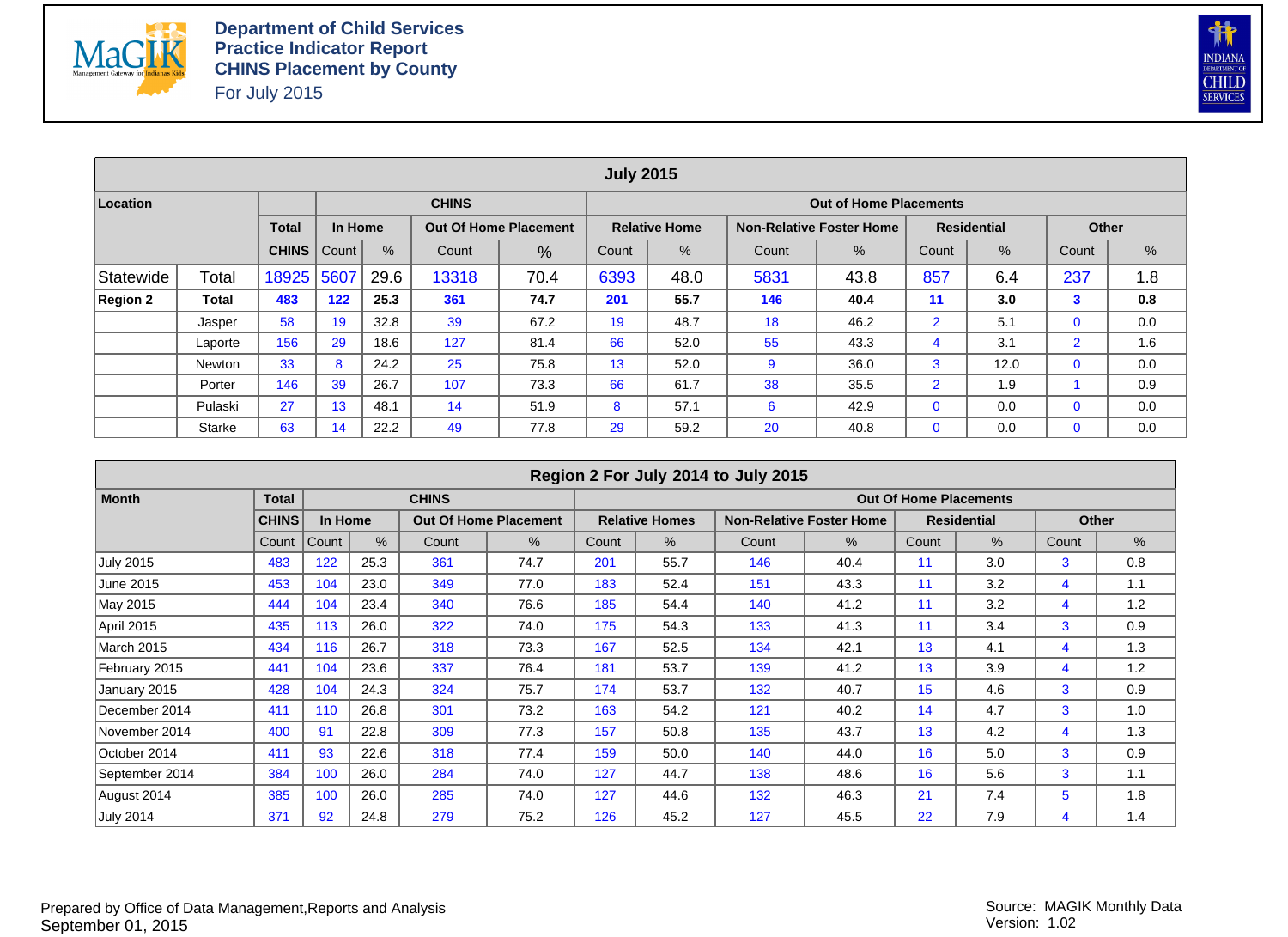



|                 |               |              |         |      |                                                                    |                                                                  | <b>July 2015</b> |                      |     |                                 |                |                    |                |     |  |  |  |
|-----------------|---------------|--------------|---------|------|--------------------------------------------------------------------|------------------------------------------------------------------|------------------|----------------------|-----|---------------------------------|----------------|--------------------|----------------|-----|--|--|--|
| Location        |               |              |         |      | <b>CHINS</b>                                                       |                                                                  |                  |                      |     | <b>Out of Home Placements</b>   |                |                    |                |     |  |  |  |
|                 |               | <b>Total</b> | In Home |      |                                                                    | <b>Out Of Home Placement</b>                                     |                  | <b>Relative Home</b> |     | <b>Non-Relative Foster Home</b> |                | <b>Residential</b> | <b>Other</b>   |     |  |  |  |
|                 |               | <b>CHINS</b> | Count   | %    | %<br>%<br>%<br>Count<br>%<br>Count<br>Count<br>Count<br>Count<br>% |                                                                  |                  |                      |     |                                 |                |                    |                |     |  |  |  |
| Statewide       | Total         | 18925        | 5607    | 29.6 | 13318                                                              | 237<br>857<br>70.4<br>6393<br>48.0<br>5831<br>43.8<br>6.4<br>1.8 |                  |                      |     |                                 |                |                    |                |     |  |  |  |
| <b>Region 2</b> | Total         | 483          | 122     | 25.3 | 361                                                                | 74.7                                                             | 201              | 55.7                 | 146 | 40.4                            | 11             | 3.0                | 3              | 0.8 |  |  |  |
|                 | Jasper        | 58           | 19      | 32.8 | 39                                                                 | 67.2                                                             | 19               | 48.7                 | 18  | 46.2                            | $\overline{2}$ | 5.1                | $\mathbf 0$    | 0.0 |  |  |  |
|                 | Laporte       | 156          | 29      | 18.6 | 127                                                                | 81.4                                                             | 66               | 52.0                 | 55  | 43.3                            | 4              | 3.1                | $\overline{2}$ | 1.6 |  |  |  |
|                 | <b>Newton</b> | 33           | 8       | 24.2 | 25                                                                 | 75.8                                                             | 13               | 52.0                 | 9   | 36.0                            | 3              | 12.0               | $\mathbf 0$    | 0.0 |  |  |  |
|                 | Porter        | 146          | 39      | 26.7 | 107                                                                | 73.3                                                             | 66               | 61.7                 | 38  | 35.5                            | $\overline{2}$ | 1.9                |                | 0.9 |  |  |  |
|                 | Pulaski       | 27           | 13      | 48.1 | 14                                                                 | 51.9                                                             | 8                | 57.1                 | 6   | 42.9                            | $\mathbf{0}$   | 0.0                | $\mathbf 0$    | 0.0 |  |  |  |
|                 | <b>Starke</b> | 63           | 14      | 22.2 | 49                                                                 | 77.8                                                             | 29               | 59.2                 | 20  | 40.8                            | $\mathbf{0}$   | 0.0                | $\mathbf 0$    | 0.0 |  |  |  |

|                   |              |         |      |              |                              |       |                       | Region 2 For July 2014 to July 2015 |                                 |                               |                    |              |      |
|-------------------|--------------|---------|------|--------------|------------------------------|-------|-----------------------|-------------------------------------|---------------------------------|-------------------------------|--------------------|--------------|------|
| <b>Month</b>      | <b>Total</b> |         |      | <b>CHINS</b> |                              |       |                       |                                     |                                 | <b>Out Of Home Placements</b> |                    |              |      |
|                   | <b>CHINS</b> | In Home |      |              | <b>Out Of Home Placement</b> |       | <b>Relative Homes</b> |                                     | <b>Non-Relative Foster Home</b> |                               | <b>Residential</b> | Other        |      |
|                   | Count        | Count   | %    | Count        | %                            | Count | %                     | Count                               | %                               | Count                         | %                  | Count        | $\%$ |
| <b>July 2015</b>  | 483          | 122     | 25.3 | 361          | 74.7                         | 201   | 55.7                  | 146                                 | 40.4                            | 11                            | 3.0                | 3            | 0.8  |
| June 2015         | 453          | 104     | 23.0 | 349          | 77.0                         | 183   | 52.4                  | 151                                 | 43.3                            | 11                            | 3.2                | 4            | 1.1  |
| May 2015          | 444          | 104     | 23.4 | 340          | 76.6                         | 185   | 54.4                  | 140                                 | 41.2                            | 11                            | 3.2                | 4            | 1.2  |
| <b>April 2015</b> | 435          | 113     | 26.0 | 322          | 74.0                         | 175   | 54.3                  | 133                                 | 41.3                            | 11                            | 3.4                | 3            | 0.9  |
| <b>March 2015</b> | 434          | 116     | 26.7 | 318          | 73.3                         | 167   | 52.5                  | 134                                 | 42.1                            | 13                            | 4.1                | 4            | 1.3  |
| February 2015     | 441          | 104     | 23.6 | 337          | 76.4                         | 181   | 53.7                  | 139                                 | 41.2                            | 13                            | 3.9                | 4            | 1.2  |
| January 2015      | 428          | 104     | 24.3 | 324          | 75.7                         | 174   | 53.7                  | 132                                 | 40.7                            | 15                            | 4.6                | 3            | 0.9  |
| December 2014     | 411          | 110     | 26.8 | 301          | 73.2                         | 163   | 54.2                  | 121                                 | 40.2                            | 14                            | 4.7                | 3            | 1.0  |
| November 2014     | 400          | 91      | 22.8 | 309          | 77.3                         | 157   | 50.8                  | 135                                 | 43.7                            | 13                            | 4.2                | 4            | 1.3  |
| October 2014      | 411          | 93      | 22.6 | 318          | 77.4                         | 159   | 50.0                  | 140                                 | 44.0                            | 16                            | 5.0                | $\mathbf{3}$ | 0.9  |
| September 2014    | 384          | 100     | 26.0 | 284          | 74.0                         | 127   | 44.7                  | 138                                 | 48.6                            | 16                            | 5.6                | 3            | 1.1  |
| August 2014       | 385          | 100     | 26.0 | 285          | 74.0                         | 127   | 44.6                  | 132                                 | 46.3                            | 21                            | 7.4                | 5            | 1.8  |
| <b>July 2014</b>  | 371          | 92      | 24.8 | 279          | 75.2                         | 126   | 45.2                  | 127                                 | 45.5                            | 22                            | 7.9                | 4            | 1.4  |

Prepared by Office of Data Management,Reports and Analysis September 01, 2015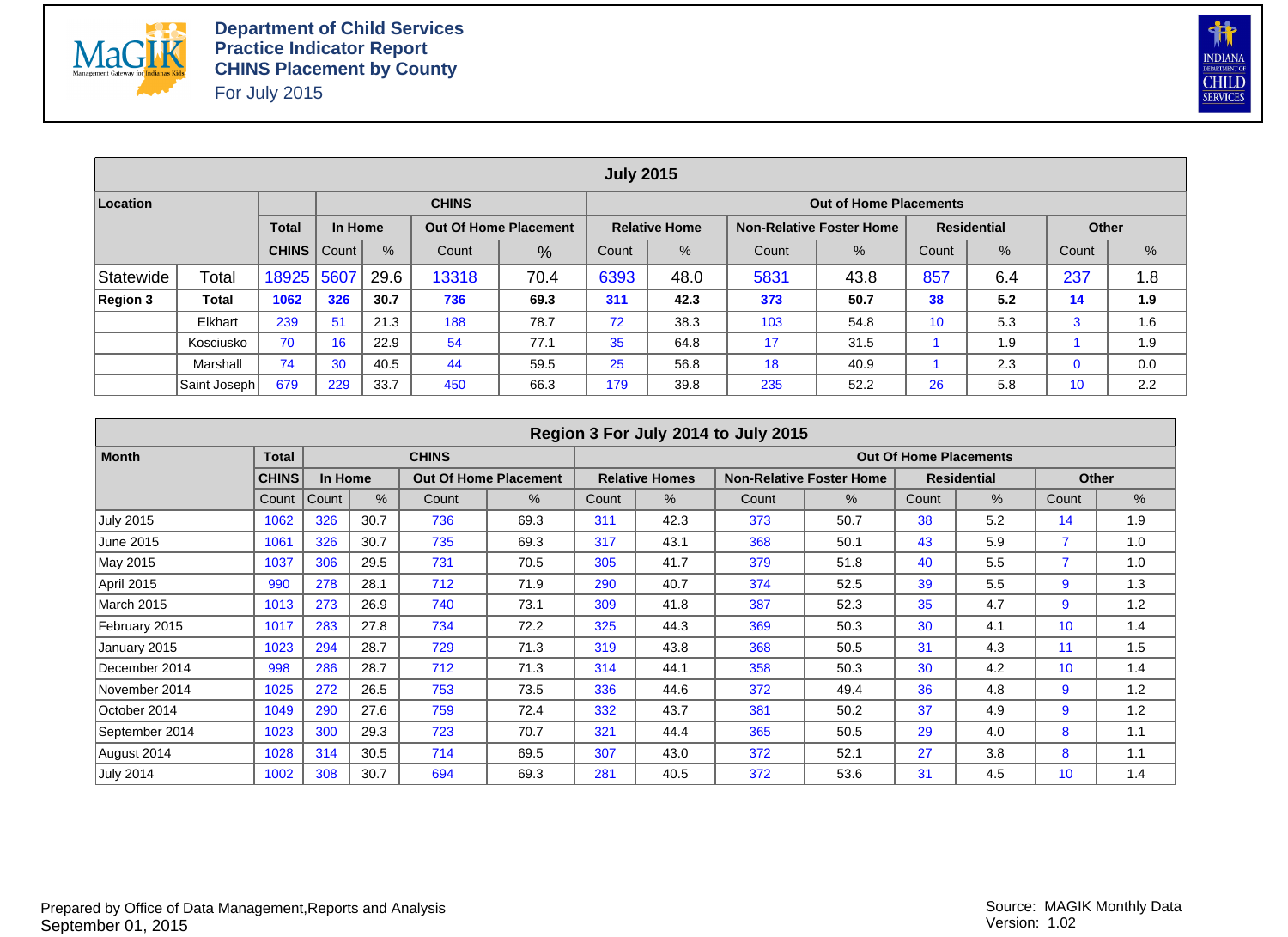



|           |              |              |         |      |                                                                                                                        |      | <b>July 2015</b>                                                       |      |     |                               |    |     |             |     |  |  |  |  |
|-----------|--------------|--------------|---------|------|------------------------------------------------------------------------------------------------------------------------|------|------------------------------------------------------------------------|------|-----|-------------------------------|----|-----|-------------|-----|--|--|--|--|
| Location  |              |              |         |      | <b>CHINS</b>                                                                                                           |      |                                                                        |      |     | <b>Out of Home Placements</b> |    |     |             |     |  |  |  |  |
|           |              | <b>Total</b> | In Home |      | <b>Residential</b><br><b>Out Of Home Placement</b><br><b>Relative Home</b><br><b>Non-Relative Foster Home</b><br>Other |      |                                                                        |      |     |                               |    |     |             |     |  |  |  |  |
|           |              | <b>CHINS</b> | Count   | $\%$ | Count                                                                                                                  | %    | $\%$<br>$\frac{9}{6}$<br>%<br>$\%$<br>Count<br>Count<br>Count<br>Count |      |     |                               |    |     |             |     |  |  |  |  |
| Statewide | Total        | 18925        | 5607    | 29.6 | 13318                                                                                                                  | 70.4 | 237<br>857<br>6393<br>5831<br>48.0<br>43.8<br>6.4<br>1.8               |      |     |                               |    |     |             |     |  |  |  |  |
| Region 3  | Total        | 1062         | 326     | 30.7 | 736                                                                                                                    | 69.3 | 311                                                                    | 42.3 | 373 | 50.7                          | 38 | 5.2 | 14          | 1.9 |  |  |  |  |
|           | Elkhart      | 239          | 51      | 21.3 | 188                                                                                                                    | 78.7 | 72                                                                     | 38.3 | 103 | 54.8                          | 10 | 5.3 | 3           | 1.6 |  |  |  |  |
|           | Kosciusko    | 70           | 16      | 22.9 | 54                                                                                                                     | 77.1 | 35                                                                     | 64.8 | 17  | 31.5                          |    | 1.9 |             | 1.9 |  |  |  |  |
|           | Marshall     | 74           | 30      | 40.5 | 44                                                                                                                     | 59.5 | 25                                                                     | 56.8 | 18  | 40.9                          |    | 2.3 | $\mathbf 0$ | 0.0 |  |  |  |  |
|           | Saint Joseph | 679          | 229     | 33.7 | 450                                                                                                                    | 66.3 | 179                                                                    | 39.8 | 235 | 52.2                          | 26 | 5.8 | 10          | 2.2 |  |  |  |  |

|                   |              |         |      |              |                              |       |                       | Region 3 For July 2014 to July 2015 |                                 |                               |                    |                 |     |
|-------------------|--------------|---------|------|--------------|------------------------------|-------|-----------------------|-------------------------------------|---------------------------------|-------------------------------|--------------------|-----------------|-----|
| <b>Month</b>      | <b>Total</b> |         |      | <b>CHINS</b> |                              |       |                       |                                     |                                 | <b>Out Of Home Placements</b> |                    |                 |     |
|                   | <b>CHINS</b> | In Home |      |              | <b>Out Of Home Placement</b> |       | <b>Relative Homes</b> |                                     | <b>Non-Relative Foster Home</b> |                               | <b>Residential</b> | Other           |     |
|                   | Count        | Count   | $\%$ | Count        | $\%$                         | Count | %                     | Count                               | %                               | Count                         | $\%$               | Count           | %   |
| <b>July 2015</b>  | 1062         | 326     | 30.7 | 736          | 69.3                         | 311   | 42.3                  | 373                                 | 50.7                            | 38                            | 5.2                | 14              | 1.9 |
| June 2015         | 1061         | 326     | 30.7 | 735          | 69.3                         | 317   | 43.1                  | 368                                 | 50.1                            | 43                            | 5.9                | $\overline{7}$  | 1.0 |
| May 2015          | 1037         | 306     | 29.5 | 731          | 70.5                         | 305   | 41.7                  | 379                                 | 51.8                            | 40                            | 5.5                | $\overline{7}$  | 1.0 |
| April 2015        | 990          | 278     | 28.1 | 712          | 71.9                         | 290   | 40.7                  | 374                                 | 52.5                            | 39                            | 5.5                | 9               | 1.3 |
| <b>March 2015</b> | 1013         | 273     | 26.9 | 740          | 73.1                         | 309   | 41.8                  | 387                                 | 52.3                            | 35                            | 4.7                | 9               | 1.2 |
| February 2015     | 1017         | 283     | 27.8 | 734          | 72.2                         | 325   | 44.3                  | 369                                 | 50.3                            | 30                            | 4.1                | 10              | 1.4 |
| January 2015      | 1023         | 294     | 28.7 | 729          | 71.3                         | 319   | 43.8                  | 368                                 | 50.5                            | 31                            | 4.3                | 11              | 1.5 |
| December 2014     | 998          | 286     | 28.7 | 712          | 71.3                         | 314   | 44.1                  | 358                                 | 50.3                            | 30                            | 4.2                | 10 <sup>1</sup> | 1.4 |
| November 2014     | 1025         | 272     | 26.5 | 753          | 73.5                         | 336   | 44.6                  | 372                                 | 49.4                            | 36                            | 4.8                | 9               | 1.2 |
| October 2014      | 1049         | 290     | 27.6 | 759          | 72.4                         | 332   | 43.7                  | 381                                 | 50.2                            | 37                            | 4.9                | 9               | 1.2 |
| September 2014    | 1023         | 300     | 29.3 | 723          | 70.7                         | 321   | 44.4                  | 365                                 | 50.5                            | 29                            | 4.0                | 8               | 1.1 |
| August 2014       | 1028         | 314     | 30.5 | 714          | 69.5                         | 307   | 43.0                  | 372                                 | 52.1                            | 27                            | 3.8                | 8               | 1.1 |
| <b>July 2014</b>  | 1002         | 308     | 30.7 | 694          | 69.3                         | 281   | 40.5                  | 372                                 | 53.6                            | 31                            | 4.5                | 10              | 1.4 |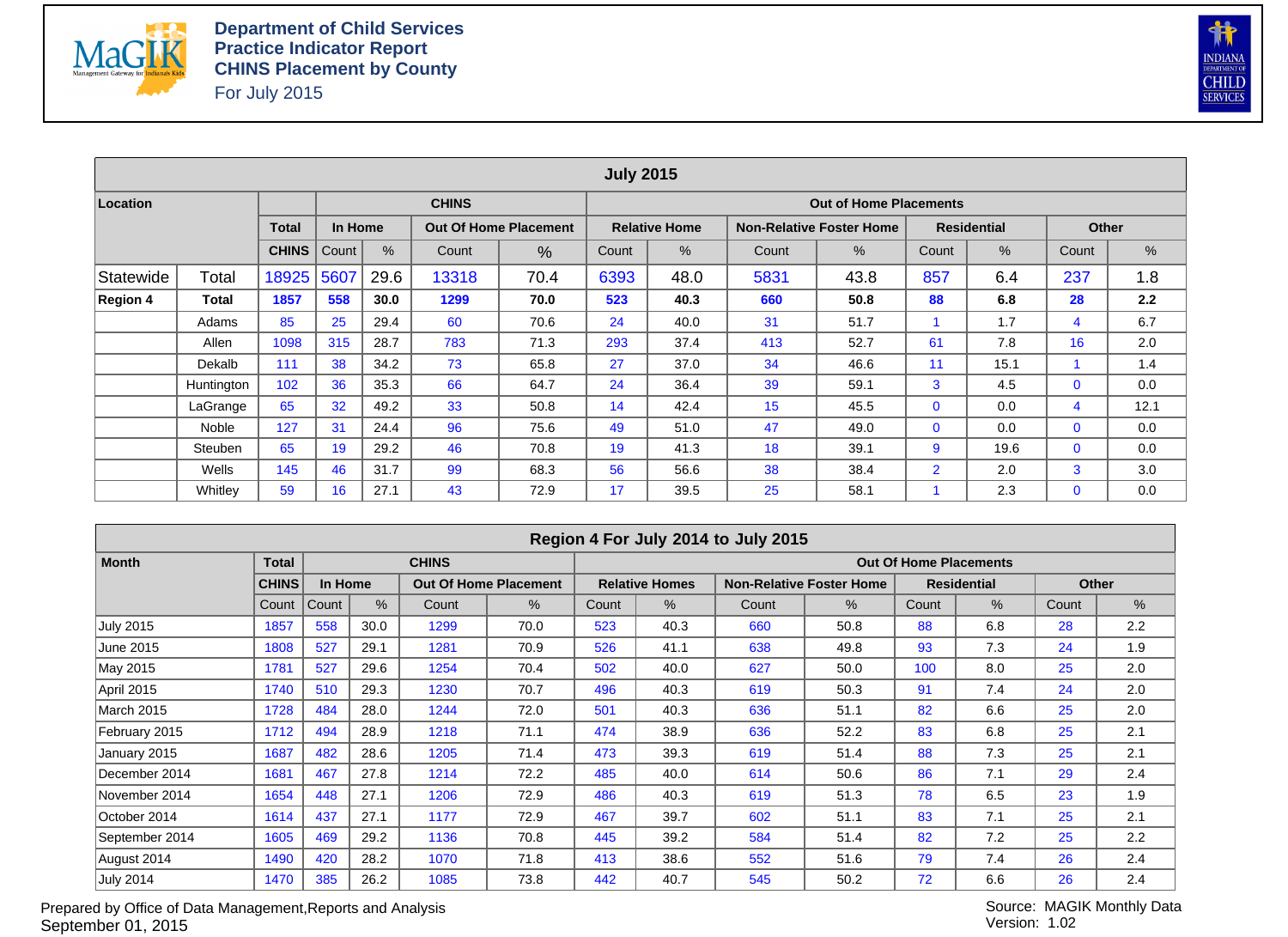



|                 |            |              |         |      |              |                              | <b>July 2015</b> |                      |       |                                 |                |                    |              |      |
|-----------------|------------|--------------|---------|------|--------------|------------------------------|------------------|----------------------|-------|---------------------------------|----------------|--------------------|--------------|------|
| Location        |            |              |         |      | <b>CHINS</b> |                              |                  |                      |       | <b>Out of Home Placements</b>   |                |                    |              |      |
|                 |            | <b>Total</b> | In Home |      |              | <b>Out Of Home Placement</b> |                  | <b>Relative Home</b> |       | <b>Non-Relative Foster Home</b> |                | <b>Residential</b> | Other        |      |
|                 |            | <b>CHINS</b> | Count   | %    | Count        | %                            | Count            | %                    | Count | %                               | Count          | %                  | Count        | %    |
| Statewide       | Total      | 18925        | 5607    | 29.6 | 13318        | 70.4                         | 6393             | 48.0                 | 5831  | 43.8                            | 857            | 6.4                | 237          | 1.8  |
| <b>Region 4</b> | Total      | 1857         | 558     | 30.0 | 1299         | 70.0                         | 523              | 40.3                 | 660   | 50.8                            | 88             | 6.8                | 28           | 2.2  |
|                 | Adams      | 85           | 25      | 29.4 | 60           | 70.6                         | 24               | 40.0                 | 31    | 51.7                            |                | 1.7                | 4            | 6.7  |
|                 | Allen      | 1098         | 315     | 28.7 | 783          | 71.3                         | 293              | 37.4                 | 413   | 52.7                            | 61             | 7.8                | 16           | 2.0  |
|                 | Dekalb     | 111          | 38      | 34.2 | 73           | 65.8                         | 27               | 37.0                 | 34    | 46.6                            | 11             | 15.1               |              | 1.4  |
|                 | Huntington | 102          | 36      | 35.3 | 66           | 64.7                         | 24               | 36.4                 | 39    | 59.1                            | 3              | 4.5                | $\mathbf{0}$ | 0.0  |
|                 | LaGrange   | 65           | 32      | 49.2 | 33           | 50.8                         | 14               | 42.4                 | 15    | 45.5                            | $\mathbf{0}$   | 0.0                | 4            | 12.1 |
|                 | Noble      | 127          | 31      | 24.4 | 96           | 75.6                         | 49               | 51.0                 | 47    | 49.0                            | $\Omega$       | 0.0                | $\Omega$     | 0.0  |
|                 | Steuben    | 65           | 19      | 29.2 | 46           | 70.8                         | 19               | 41.3                 | 18    | 39.1                            | 9              | 19.6               | $\mathbf{0}$ | 0.0  |
|                 | Wells      | 145          | 46      | 31.7 | 99           | 68.3                         | 56               | 56.6                 | 38    | 38.4                            | $\overline{2}$ | 2.0                | 3            | 3.0  |
|                 | Whitley    | 59           | 16      | 27.1 | 43           | 72.9                         | 17               | 39.5                 | 25    | 58.1                            |                | 2.3                | $\mathbf{0}$ | 0.0  |

|                  |              |         |      |              |                              |       |                       | Region 4 For July 2014 to July 2015 |                                 |                               |                    |       |              |
|------------------|--------------|---------|------|--------------|------------------------------|-------|-----------------------|-------------------------------------|---------------------------------|-------------------------------|--------------------|-------|--------------|
| <b>Month</b>     | <b>Total</b> |         |      | <b>CHINS</b> |                              |       |                       |                                     |                                 | <b>Out Of Home Placements</b> |                    |       |              |
|                  | <b>CHINS</b> | In Home |      |              | <b>Out Of Home Placement</b> |       | <b>Relative Homes</b> |                                     | <b>Non-Relative Foster Home</b> |                               | <b>Residential</b> |       | <b>Other</b> |
|                  | Count        | Count   | %    | Count        | %                            | Count | %                     | Count                               | %                               | Count                         | %                  | Count | $\%$         |
| <b>July 2015</b> | 1857         | 558     | 30.0 | 1299         | 70.0                         | 523   | 40.3                  | 660                                 | 50.8                            | 88                            | 6.8                | 28    | 2.2          |
| June 2015        | 1808         | 527     | 29.1 | 1281         | 70.9                         | 526   | 41.1                  | 638                                 | 49.8                            | 93                            | 7.3                | 24    | 1.9          |
| May 2015         | 1781         | 527     | 29.6 | 1254         | 70.4                         | 502   | 40.0                  | 627                                 | 50.0                            | 100                           | 8.0                | 25    | 2.0          |
| April 2015       | 1740         | 510     | 29.3 | 1230         | 70.7                         | 496   | 40.3                  | 619                                 | 50.3                            | 91                            | 7.4                | 24    | 2.0          |
| March 2015       | 1728         | 484     | 28.0 | 1244         | 72.0                         | 501   | 40.3                  | 636                                 | 51.1                            | 82                            | 6.6                | 25    | 2.0          |
| February 2015    | 1712         | 494     | 28.9 | 1218         | 71.1                         | 474   | 38.9                  | 636                                 | 52.2                            | 83                            | 6.8                | 25    | 2.1          |
| January 2015     | 1687         | 482     | 28.6 | 1205         | 71.4                         | 473   | 39.3                  | 619                                 | 51.4                            | 88                            | 7.3                | 25    | 2.1          |
| December 2014    | 1681         | 467     | 27.8 | 1214         | 72.2                         | 485   | 40.0                  | 614                                 | 50.6                            | 86                            | 7.1                | 29    | 2.4          |
| November 2014    | 1654         | 448     | 27.1 | 1206         | 72.9                         | 486   | 40.3                  | 619                                 | 51.3                            | 78                            | 6.5                | 23    | 1.9          |
| October 2014     | 1614         | 437     | 27.1 | 1177         | 72.9                         | 467   | 39.7                  | 602                                 | 51.1                            | 83                            | 7.1                | 25    | 2.1          |
| September 2014   | 1605         | 469     | 29.2 | 1136         | 70.8                         | 445   | 39.2                  | 584                                 | 51.4                            | 82                            | 7.2                | 25    | 2.2          |
| August 2014      | 1490         | 420     | 28.2 | 1070         | 71.8                         | 413   | 38.6                  | 552                                 | 51.6                            | 79                            | 7.4                | 26    | 2.4          |
| <b>July 2014</b> | 1470         | 385     | 26.2 | 1085         | 73.8                         | 442   | 40.7                  | 545                                 | 50.2                            | 72                            | 6.6                | 26    | 2.4          |

Prepared by Office of Data Management,Reports and Analysis September 01, 2015

Source: MAGIK Monthly Data Version: 1.02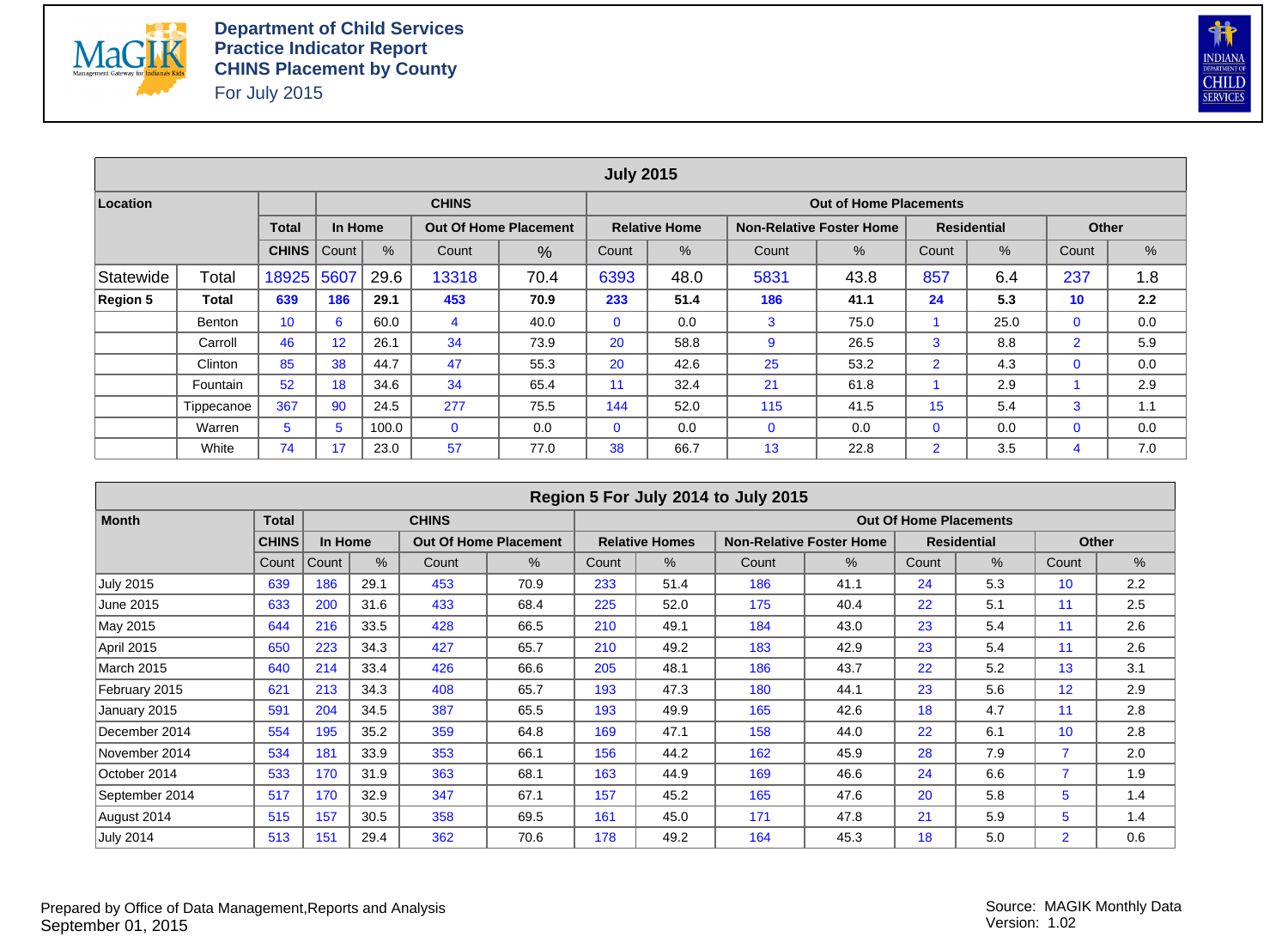



|           |               |              |         |       |              |                              | <b>July 2015</b> |                      |             |                                 |                |                    |                |     |
|-----------|---------------|--------------|---------|-------|--------------|------------------------------|------------------|----------------------|-------------|---------------------------------|----------------|--------------------|----------------|-----|
| Location  |               |              |         |       | <b>CHINS</b> |                              |                  |                      |             | <b>Out of Home Placements</b>   |                |                    |                |     |
|           |               | <b>Total</b> | In Home |       |              | <b>Out Of Home Placement</b> |                  | <b>Relative Home</b> |             | <b>Non-Relative Foster Home</b> |                | <b>Residential</b> | <b>Other</b>   |     |
|           |               | <b>CHINS</b> | Count   | $\%$  | Count        | %                            | Count            | %                    | Count       | %                               | Count          | %                  | Count          | %   |
| Statewide | Total         | 18925        | 5607    | 29.6  | 13318        | 70.4                         | 6393             | 48.0                 | 5831        | 43.8                            | 857            | 6.4                | 237            | 1.8 |
| Region 5  | Total         | 639          | 186     | 29.1  | 453          | 70.9                         | 233              | 51.4                 | 186         | 41.1                            | 24             | 5.3                | 10             | 2.2 |
|           | <b>Benton</b> | 10           | 6       | 60.0  | 4            | 40.0                         | $\mathbf{0}$     | 0.0                  | 3           | 75.0                            |                | 25.0               | $\mathbf 0$    | 0.0 |
|           | Carroll       | 46           | 12      | 26.1  | 34           | 73.9                         | 20               | 58.8                 | 9           | 26.5                            | 3              | 8.8                | $\overline{2}$ | 5.9 |
|           | Clinton       | 85           | 38      | 44.7  | 47           | 55.3                         | 20               | 42.6                 | 25          | 53.2                            | $\overline{2}$ | 4.3                | $\mathbf 0$    | 0.0 |
|           | Fountain      | 52           | 18      | 34.6  | 34           | 65.4                         | 11               | 32.4                 | 21          | 61.8                            |                | 2.9                |                | 2.9 |
|           | Tippecanoe    | 367          | 90      | 24.5  | 277          | 75.5                         | 144              | 52.0                 | 115         | 41.5                            | 15             | 5.4                | 3              | 1.1 |
|           | Warren        | 5            | 5       | 100.0 | $\mathbf{0}$ | 0.0                          | $\mathbf{0}$     | 0.0                  | $\mathbf 0$ | 0.0                             | $\mathbf{0}$   | 0.0                | $\mathbf 0$    | 0.0 |
|           | White         | 74           | 17      | 23.0  | 57           | 77.0                         | 38               | 66.7                 | 13          | 22.8                            | $\overline{2}$ | 3.5                | 4              | 7.0 |

|                   |              |         |      |              |                              |       |                       | Region 5 For July 2014 to July 2015 |                                 |                               |                    |                |              |
|-------------------|--------------|---------|------|--------------|------------------------------|-------|-----------------------|-------------------------------------|---------------------------------|-------------------------------|--------------------|----------------|--------------|
| <b>Month</b>      | <b>Total</b> |         |      | <b>CHINS</b> |                              |       |                       |                                     |                                 | <b>Out Of Home Placements</b> |                    |                |              |
|                   | <b>CHINS</b> | In Home |      |              | <b>Out Of Home Placement</b> |       | <b>Relative Homes</b> |                                     | <b>Non-Relative Foster Home</b> |                               | <b>Residential</b> |                | <b>Other</b> |
|                   | Count        | Count   | $\%$ | Count        | $\%$                         | Count | $\%$                  | Count                               | %                               | Count                         | $\%$               | Count          | %            |
| <b>July 2015</b>  | 639          | 186     | 29.1 | 453          | 70.9                         | 233   | 51.4                  | 186                                 | 41.1                            | 24                            | 5.3                | 10             | 2.2          |
| June 2015         | 633          | 200     | 31.6 | 433          | 68.4                         | 225   | 52.0                  | 175                                 | 40.4                            | 22                            | 5.1                | 11             | 2.5          |
| May 2015          | 644          | 216     | 33.5 | 428          | 66.5                         | 210   | 49.1                  | 184                                 | 43.0                            | 23                            | 5.4                | 11             | 2.6          |
| April 2015        | 650          | 223     | 34.3 | 427          | 65.7                         | 210   | 49.2                  | 183                                 | 42.9                            | 23                            | 5.4                | 11             | 2.6          |
| <b>March 2015</b> | 640          | 214     | 33.4 | 426          | 66.6                         | 205   | 48.1                  | 186                                 | 43.7                            | 22                            | 5.2                | 13             | 3.1          |
| February 2015     | 621          | 213     | 34.3 | 408          | 65.7                         | 193   | 47.3                  | 180                                 | 44.1                            | 23                            | 5.6                | 12             | 2.9          |
| January 2015      | 591          | 204     | 34.5 | 387          | 65.5                         | 193   | 49.9                  | 165                                 | 42.6                            | 18                            | 4.7                | 11             | 2.8          |
| December 2014     | 554          | 195     | 35.2 | 359          | 64.8                         | 169   | 47.1                  | 158                                 | 44.0                            | 22                            | 6.1                | 10             | 2.8          |
| November 2014     | 534          | 181     | 33.9 | 353          | 66.1                         | 156   | 44.2                  | 162                                 | 45.9                            | 28                            | 7.9                |                | 2.0          |
| October 2014      | 533          | 170     | 31.9 | 363          | 68.1                         | 163   | 44.9                  | 169                                 | 46.6                            | 24                            | 6.6                | $\overline{7}$ | 1.9          |
| September 2014    | 517          | 170     | 32.9 | 347          | 67.1                         | 157   | 45.2                  | 165                                 | 47.6                            | 20                            | 5.8                | 5              | 1.4          |
| August 2014       | 515          | 157     | 30.5 | 358          | 69.5                         | 161   | 45.0                  | 171                                 | 47.8                            | 21                            | 5.9                | 5              | 1.4          |
| <b>July 2014</b>  | 513          | 151     | 29.4 | 362          | 70.6                         | 178   | 49.2                  | 164                                 | 45.3                            | 18                            | 5.0                | $\overline{2}$ | 0.6          |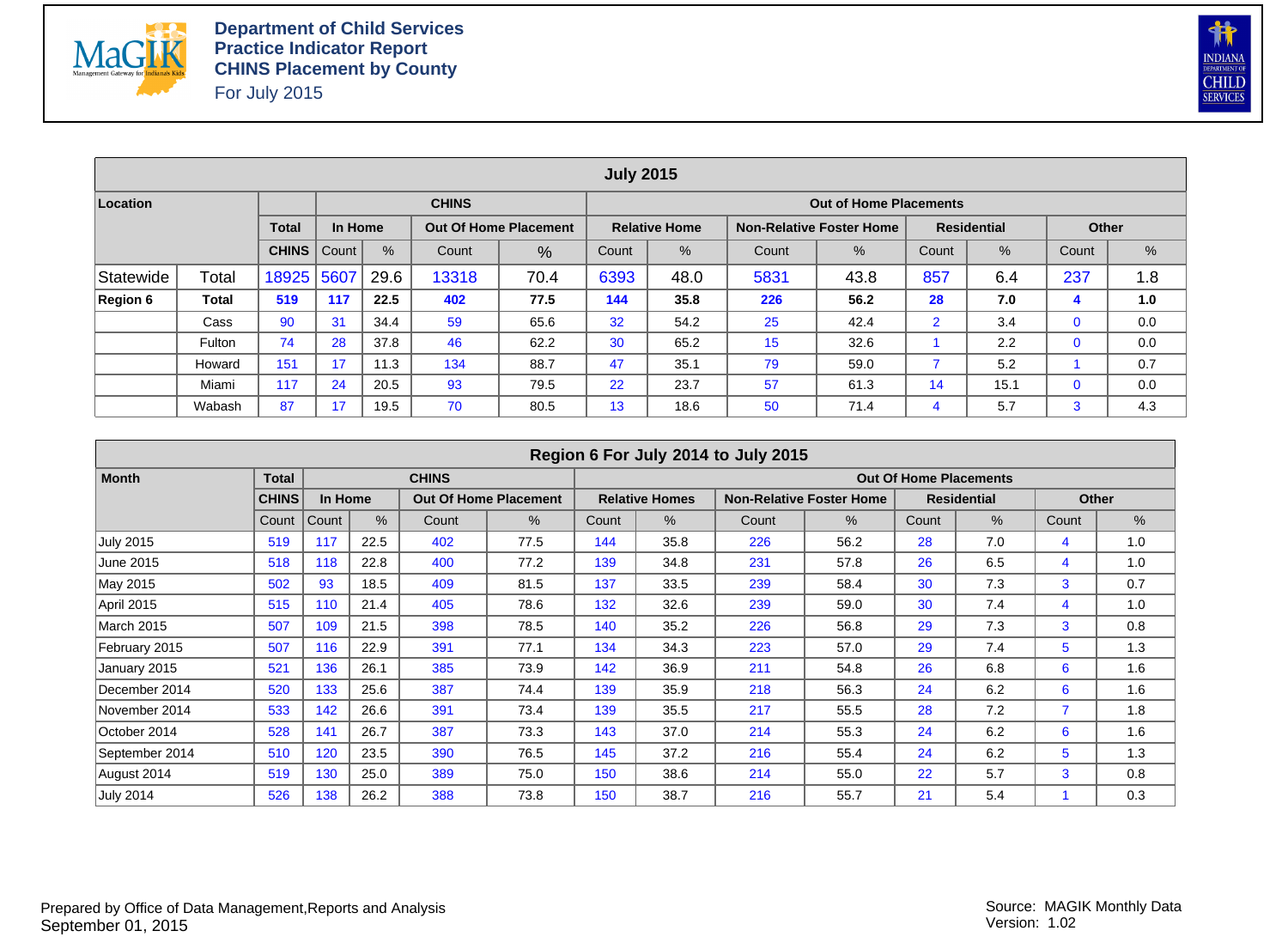



|                 |        |              |         |      |                                                                             |                              | <b>July 2015</b>                                         |                      |     |                                 |                |                    |             |     |  |  |  |
|-----------------|--------|--------------|---------|------|-----------------------------------------------------------------------------|------------------------------|----------------------------------------------------------|----------------------|-----|---------------------------------|----------------|--------------------|-------------|-----|--|--|--|
| Location        |        |              |         |      | <b>CHINS</b>                                                                |                              |                                                          |                      |     | <b>Out of Home Placements</b>   |                |                    |             |     |  |  |  |
|                 |        | <b>Total</b> | In Home |      |                                                                             | <b>Out Of Home Placement</b> |                                                          | <b>Relative Home</b> |     | <b>Non-Relative Foster Home</b> |                | <b>Residential</b> | Other       |     |  |  |  |
|                 |        | <b>CHINS</b> | Count   | %    | $\%$<br>$\%$<br>%<br>$\%$<br>Count<br>Count<br>Count<br>Count<br>%<br>Count |                              |                                                          |                      |     |                                 |                |                    |             |     |  |  |  |
| Statewide       | Total  | 18925        | 5607    | 29.6 | 13318                                                                       | 70.4                         | 237<br>6393<br>857<br>5831<br>6.4<br>48.0<br>43.8<br>1.8 |                      |     |                                 |                |                    |             |     |  |  |  |
| <b>Region 6</b> | Total  | 519          | 117     | 22.5 | 402                                                                         | 77.5                         | 144                                                      | 35.8                 | 226 | 56.2                            | 28             | 7.0                | 4           | 1.0 |  |  |  |
|                 | Cass   | 90           | 31      | 34.4 | 59                                                                          | 65.6                         | 32                                                       | 54.2                 | 25  | 42.4                            | $\overline{2}$ | 3.4                | $\mathbf 0$ | 0.0 |  |  |  |
|                 | Fulton | 74           | 28      | 37.8 | 46                                                                          | 62.2                         | 30                                                       | 65.2                 | 15  | 32.6                            |                | 2.2                | $\mathbf 0$ | 0.0 |  |  |  |
|                 | Howard | 151          | 17      | 11.3 | 134                                                                         | 88.7                         | 47                                                       | 35.1                 | 79  | 59.0                            |                | 5.2                |             | 0.7 |  |  |  |
|                 | Miami  | 117          | 24      | 20.5 | 93                                                                          | 79.5                         | 22                                                       | 23.7                 | 57  | 61.3                            | 14             | 15.1               | $\mathbf 0$ | 0.0 |  |  |  |
|                 | Wabash | 87           | 17      | 19.5 | 70                                                                          | 80.5                         | 13                                                       | 18.6                 | 50  | 71.4                            | 4              | 5.7                | 3           | 4.3 |  |  |  |

|                  |              |         |      |              |                              |       |                       | Region 6 For July 2014 to July 2015 |                                 |                               |                    |                |              |
|------------------|--------------|---------|------|--------------|------------------------------|-------|-----------------------|-------------------------------------|---------------------------------|-------------------------------|--------------------|----------------|--------------|
| <b>Month</b>     | <b>Total</b> |         |      | <b>CHINS</b> |                              |       |                       |                                     |                                 | <b>Out Of Home Placements</b> |                    |                |              |
|                  | <b>CHINS</b> | In Home |      |              | <b>Out Of Home Placement</b> |       | <b>Relative Homes</b> |                                     | <b>Non-Relative Foster Home</b> |                               | <b>Residential</b> |                | <b>Other</b> |
|                  | Count        | Count   | $\%$ | Count        | $\%$                         | Count | $\%$                  | Count                               | $\%$                            | Count                         | $\%$               | Count          | %            |
| <b>July 2015</b> | 519          | 117     | 22.5 | 402          | 77.5                         | 144   | 35.8                  | 226                                 | 56.2                            | 28                            | 7.0                | 4              | 1.0          |
| June 2015        | 518          | 118     | 22.8 | 400          | 77.2                         | 139   | 34.8                  | 231                                 | 57.8                            | 26                            | 6.5                | 4              | 1.0          |
| May 2015         | 502          | 93      | 18.5 | 409          | 81.5                         | 137   | 33.5                  | 239                                 | 58.4                            | 30                            | 7.3                | 3              | 0.7          |
| April 2015       | 515          | 110     | 21.4 | 405          | 78.6                         | 132   | 32.6                  | 239                                 | 59.0                            | 30                            | 7.4                | $\overline{4}$ | 1.0          |
| March 2015       | 507          | 109     | 21.5 | 398          | 78.5                         | 140   | 35.2                  | 226                                 | 56.8                            | 29                            | 7.3                | 3              | 0.8          |
| February 2015    | 507          | 116     | 22.9 | 391          | 77.1                         | 134   | 34.3                  | 223                                 | 57.0                            | 29                            | 7.4                | 5              | 1.3          |
| January 2015     | 521          | 136     | 26.1 | 385          | 73.9                         | 142   | 36.9                  | 211                                 | 54.8                            | 26                            | 6.8                | 6              | 1.6          |
| December 2014    | 520          | 133     | 25.6 | 387          | 74.4                         | 139   | 35.9                  | 218                                 | 56.3                            | 24                            | 6.2                | 6              | 1.6          |
| November 2014    | 533          | 142     | 26.6 | 391          | 73.4                         | 139   | 35.5                  | 217                                 | 55.5                            | 28                            | 7.2                |                | 1.8          |
| October 2014     | 528          | 141     | 26.7 | 387          | 73.3                         | 143   | 37.0                  | 214                                 | 55.3                            | 24                            | 6.2                | 6              | 1.6          |
| September 2014   | 510          | 120     | 23.5 | 390          | 76.5                         | 145   | 37.2                  | 216                                 | 55.4                            | 24                            | 6.2                | 5              | 1.3          |
| August 2014      | 519          | 130     | 25.0 | 389          | 75.0                         | 150   | 38.6                  | 214                                 | 55.0                            | 22                            | 5.7                | 3              | 0.8          |
| <b>July 2014</b> | 526          | 138     | 26.2 | 388          | 73.8                         | 150   | 38.7                  | 216                                 | 55.7                            | 21                            | 5.4                |                | 0.3          |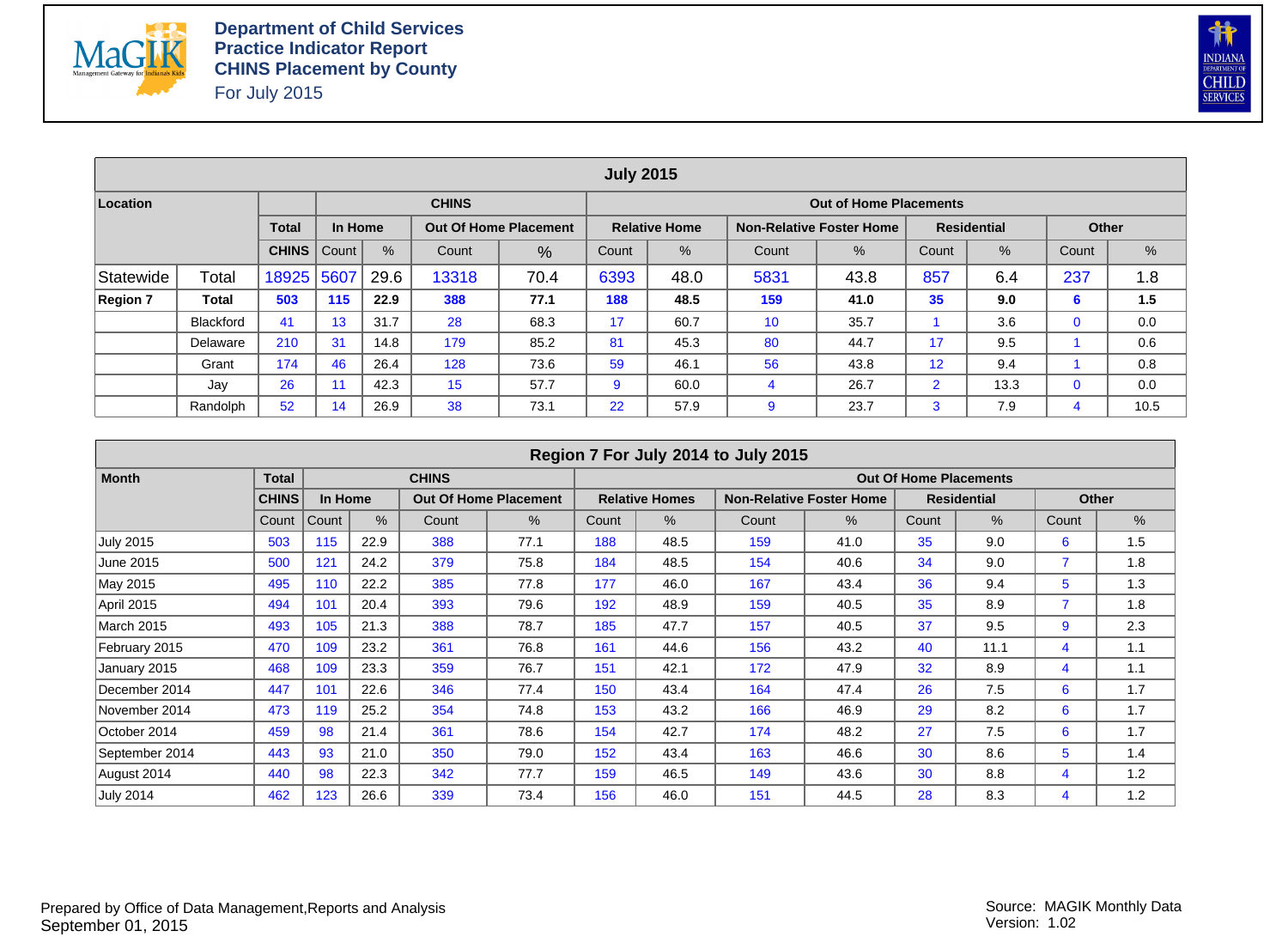



|                 |                  |              |         |      |                                                                                                                                   |                              | <b>July 2015</b> |                      |     |                                 |                |                    |             |      |  |
|-----------------|------------------|--------------|---------|------|-----------------------------------------------------------------------------------------------------------------------------------|------------------------------|------------------|----------------------|-----|---------------------------------|----------------|--------------------|-------------|------|--|
| Location        |                  |              |         |      | <b>CHINS</b>                                                                                                                      |                              |                  |                      |     | <b>Out of Home Placements</b>   |                |                    |             |      |  |
|                 |                  | <b>Total</b> | In Home |      |                                                                                                                                   | <b>Out Of Home Placement</b> |                  | <b>Relative Home</b> |     | <b>Non-Relative Foster Home</b> |                | <b>Residential</b> | Other       |      |  |
|                 |                  | <b>CHINS</b> | Count   | %    | $\%$<br>$\%$<br>%<br>$\%$<br>Count<br>Count<br>Count<br>Count<br>%<br>Count<br>6393<br>857<br>70.4<br>5831<br>6.4<br>48.0<br>43.8 |                              |                  |                      |     |                                 |                |                    |             |      |  |
| Statewide       | Total            | 18925        | 5607    | 29.6 | 13318                                                                                                                             | 237                          | 1.8              |                      |     |                                 |                |                    |             |      |  |
| <b>Region 7</b> | Total            | 503          | 115     | 22.9 | 388                                                                                                                               | 77.1                         | 188              | 48.5                 | 159 | 41.0                            | 35             | 9.0                | 6           | 1.5  |  |
|                 | <b>Blackford</b> | 41           | 13      | 31.7 | 28                                                                                                                                | 68.3                         | 17               | 60.7                 | 10  | 35.7                            |                | 3.6                | $\mathbf 0$ | 0.0  |  |
|                 | Delaware         | 210          | 31      | 14.8 | 179                                                                                                                               | 85.2                         | 81               | 45.3                 | 80  | 44.7                            | 17             | 9.5                |             | 0.6  |  |
|                 | Grant            | 174          | 46      | 26.4 | 128                                                                                                                               | 73.6                         | 59               | 46.1                 | 56  | 43.8                            | 12             | 9.4                |             | 0.8  |  |
|                 | Jay              | 26           |         | 42.3 | 15                                                                                                                                | 57.7                         | 9                | 60.0                 | 4   | 26.7                            | $\overline{2}$ | 13.3               | $\mathbf 0$ | 0.0  |  |
|                 | Randolph         | 52           | 14      | 26.9 | 38                                                                                                                                | 73.1                         | 22               | 57.9                 | 9   | 23.7                            | 3              | 7.9                | 4           | 10.5 |  |

|                  |              |         |      |              |                              |       |                       | Region 7 For July 2014 to July 2015 |                                 |                               |                    |                |              |
|------------------|--------------|---------|------|--------------|------------------------------|-------|-----------------------|-------------------------------------|---------------------------------|-------------------------------|--------------------|----------------|--------------|
| <b>Month</b>     | <b>Total</b> |         |      | <b>CHINS</b> |                              |       |                       |                                     |                                 | <b>Out Of Home Placements</b> |                    |                |              |
|                  | <b>CHINS</b> | In Home |      |              | <b>Out Of Home Placement</b> |       | <b>Relative Homes</b> |                                     | <b>Non-Relative Foster Home</b> |                               | <b>Residential</b> |                | <b>Other</b> |
|                  | Count        | Count   | $\%$ | Count        | $\%$                         | Count | $\%$                  | Count                               | $\%$                            | Count                         | $\%$               | Count          | %            |
| <b>July 2015</b> | 503          | 115     | 22.9 | 388          | 77.1                         | 188   | 48.5                  | 159                                 | 41.0                            | 35                            | 9.0                | 6              | 1.5          |
| June 2015        | 500          | 121     | 24.2 | 379          | 75.8                         | 184   | 48.5                  | 154                                 | 40.6                            | 34                            | 9.0                |                | 1.8          |
| May 2015         | 495          | 110     | 22.2 | 385          | 77.8                         | 177   | 46.0                  | 167                                 | 43.4                            | 36                            | 9.4                | 5              | 1.3          |
| April 2015       | 494          | 101     | 20.4 | 393          | 79.6                         | 192   | 48.9                  | 159                                 | 40.5                            | 35                            | 8.9                | $\overline{7}$ | 1.8          |
| March 2015       | 493          | 105     | 21.3 | 388          | 78.7                         | 185   | 47.7                  | 157                                 | 40.5                            | 37                            | 9.5                | 9              | 2.3          |
| February 2015    | 470          | 109     | 23.2 | 361          | 76.8                         | 161   | 44.6                  | 156                                 | 43.2                            | 40                            | 11.1               | 4              | 1.1          |
| January 2015     | 468          | 109     | 23.3 | 359          | 76.7                         | 151   | 42.1                  | 172                                 | 47.9                            | 32                            | 8.9                | 4              | 1.1          |
| December 2014    | 447          | 101     | 22.6 | 346          | 77.4                         | 150   | 43.4                  | 164                                 | 47.4                            | 26                            | 7.5                | 6              | 1.7          |
| November 2014    | 473          | 119     | 25.2 | 354          | 74.8                         | 153   | 43.2                  | 166                                 | 46.9                            | 29                            | 8.2                | 6              | 1.7          |
| October 2014     | 459          | 98      | 21.4 | 361          | 78.6                         | 154   | 42.7                  | 174                                 | 48.2                            | 27                            | 7.5                | 6              | 1.7          |
| September 2014   | 443          | 93      | 21.0 | 350          | 79.0                         | 152   | 43.4                  | 163                                 | 46.6                            | 30                            | 8.6                | 5              | 1.4          |
| August 2014      | 440          | 98      | 22.3 | 342          | 77.7                         | 159   | 46.5                  | 149                                 | 43.6                            | 30                            | 8.8                | 4              | 1.2          |
| <b>July 2014</b> | 462          | 123     | 26.6 | 339          | 73.4                         | 156   | 46.0                  | 151                                 | 44.5                            | 28                            | 8.3                | 4              | 1.2          |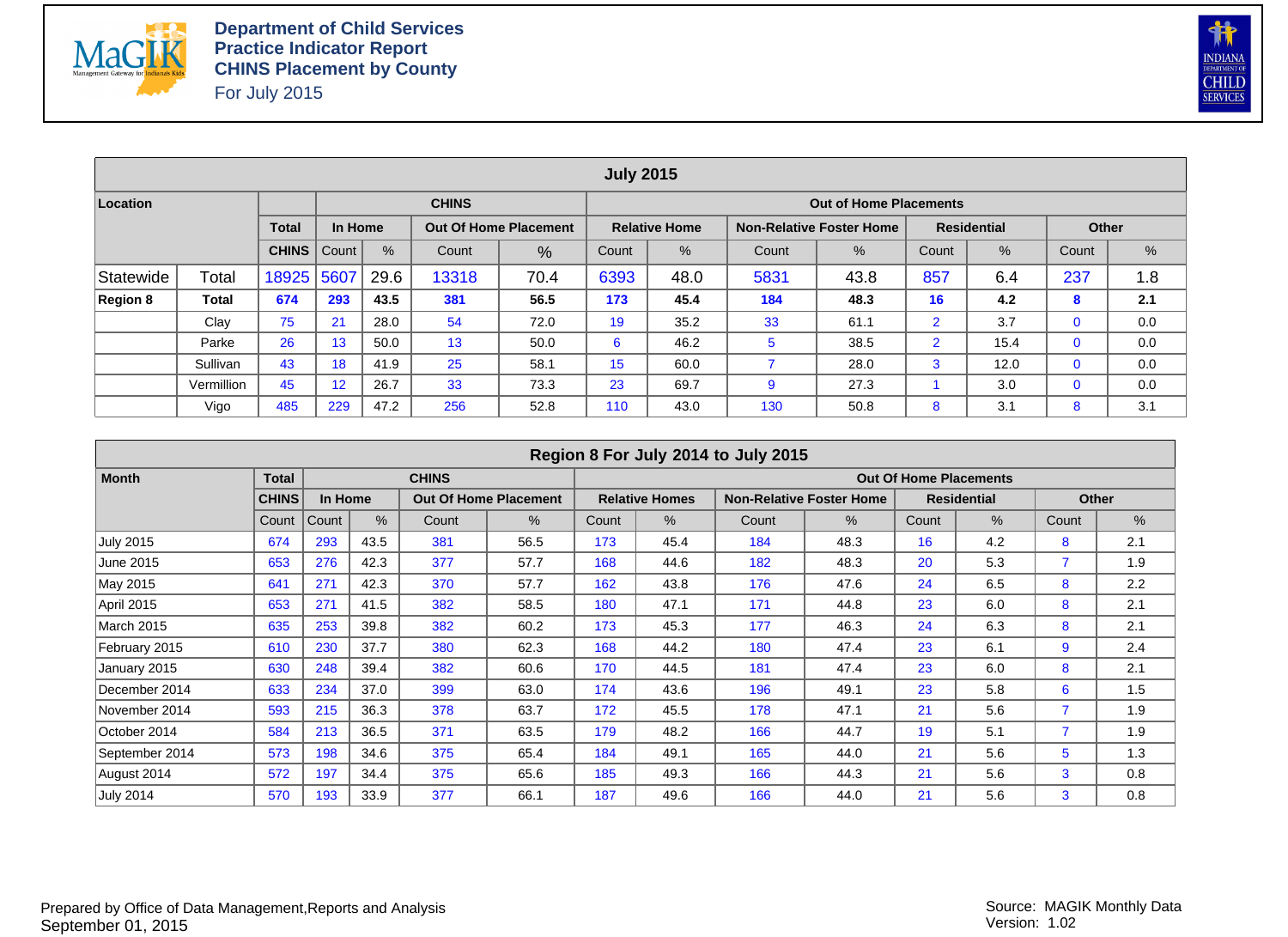



|           |            |              |         |      |                                                                                      |                              | <b>July 2015</b> |                      |     |                                 |                |                    |             |     |  |
|-----------|------------|--------------|---------|------|--------------------------------------------------------------------------------------|------------------------------|------------------|----------------------|-----|---------------------------------|----------------|--------------------|-------------|-----|--|
| Location  |            |              |         |      | <b>CHINS</b>                                                                         |                              |                  |                      |     | <b>Out of Home Placements</b>   |                |                    |             |     |  |
|           |            | <b>Total</b> | In Home |      |                                                                                      | <b>Out Of Home Placement</b> |                  | <b>Relative Home</b> |     | <b>Non-Relative Foster Home</b> |                | <b>Residential</b> | Other       |     |  |
|           |            | <b>CHINS</b> | Count   | $\%$ | $\%$<br>%<br>$\%$<br>$\frac{9}{6}$<br>Count<br>Count<br>Count<br>Count<br>%<br>Count |                              |                  |                      |     |                                 |                |                    |             |     |  |
| Statewide | Total      | 18925        | 5607    | 29.6 | 237<br>13318<br>6393<br>5831<br>857<br>70.4<br>48.0<br>6.4<br>1.8<br>43.8            |                              |                  |                      |     |                                 |                |                    |             |     |  |
| Region 8  | Total      | 674          | 293     | 43.5 | 381                                                                                  | 56.5                         | 173              | 45.4                 | 184 | 48.3                            | 16             | 4.2                | 8           | 2.1 |  |
|           | Clay       | 75           | 21      | 28.0 | 54                                                                                   | 72.0                         | 19               | 35.2                 | 33  | 61.1                            | $\overline{2}$ | 3.7                | $\mathbf 0$ | 0.0 |  |
|           | Parke      | 26           | 13      | 50.0 | 13                                                                                   | 50.0                         | 6                | 46.2                 | 5   | 38.5                            | $\overline{2}$ | 15.4               | $\mathbf 0$ | 0.0 |  |
|           | Sullivan   | 43           | 18      | 41.9 | 25                                                                                   | 58.1                         | 15               | 60.0                 |     | 28.0                            | 3              | 12.0               | $\mathbf 0$ | 0.0 |  |
|           | Vermillion | 45           | 12      | 26.7 | 33                                                                                   | 73.3                         | 23               | 69.7                 | 9   | 27.3                            |                | 3.0                | $\mathbf 0$ | 0.0 |  |
|           | Vigo       | 485          | 229     | 47.2 | 256                                                                                  | 52.8                         | 110              | 43.0                 | 130 | 50.8                            | 8              | 3.1                | 8           | 3.1 |  |

|                  |              |         |      |              |                              |       |                       | Region 8 For July 2014 to July 2015 |                                 |                               |                    |       |               |
|------------------|--------------|---------|------|--------------|------------------------------|-------|-----------------------|-------------------------------------|---------------------------------|-------------------------------|--------------------|-------|---------------|
| <b>Month</b>     | <b>Total</b> |         |      | <b>CHINS</b> |                              |       |                       |                                     |                                 | <b>Out Of Home Placements</b> |                    |       |               |
|                  | <b>CHINS</b> | In Home |      |              | <b>Out Of Home Placement</b> |       | <b>Relative Homes</b> |                                     | <b>Non-Relative Foster Home</b> |                               | <b>Residential</b> |       | <b>Other</b>  |
|                  | Count        | Count   | $\%$ | Count        | %                            | Count | $\%$                  | Count                               | $\%$                            | Count                         | $\%$               | Count | $\frac{9}{6}$ |
| <b>July 2015</b> | 674          | 293     | 43.5 | 381          | 56.5                         | 173   | 45.4                  | 184                                 | 48.3                            | 16                            | 4.2                | 8     | 2.1           |
| June 2015        | 653          | 276     | 42.3 | 377          | 57.7                         | 168   | 44.6                  | 182                                 | 48.3                            | 20                            | 5.3                |       | 1.9           |
| May 2015         | 641          | 271     | 42.3 | 370          | 57.7                         | 162   | 43.8                  | 176                                 | 47.6                            | 24                            | 6.5                | 8     | 2.2           |
| April 2015       | 653          | 271     | 41.5 | 382          | 58.5                         | 180   | 47.1                  | 171                                 | 44.8                            | 23                            | 6.0                | 8     | 2.1           |
| March 2015       | 635          | 253     | 39.8 | 382          | 60.2                         | 173   | 45.3                  | 177                                 | 46.3                            | 24                            | 6.3                | 8     | 2.1           |
| February 2015    | 610          | 230     | 37.7 | 380          | 62.3                         | 168   | 44.2                  | 180                                 | 47.4                            | 23                            | 6.1                | 9     | 2.4           |
| January 2015     | 630          | 248     | 39.4 | 382          | 60.6                         | 170   | 44.5                  | 181                                 | 47.4                            | 23                            | 6.0                | 8     | 2.1           |
| December 2014    | 633          | 234     | 37.0 | 399          | 63.0                         | 174   | 43.6                  | 196                                 | 49.1                            | 23                            | 5.8                | 6     | 1.5           |
| November 2014    | 593          | 215     | 36.3 | 378          | 63.7                         | 172   | 45.5                  | 178                                 | 47.1                            | 21                            | 5.6                |       | 1.9           |
| October 2014     | 584          | 213     | 36.5 | 371          | 63.5                         | 179   | 48.2                  | 166                                 | 44.7                            | 19                            | 5.1                |       | 1.9           |
| September 2014   | 573          | 198     | 34.6 | 375          | 65.4                         | 184   | 49.1                  | 165                                 | 44.0                            | 21                            | 5.6                | 5     | 1.3           |
| August 2014      | 572          | 197     | 34.4 | 375          | 65.6                         | 185   | 49.3                  | 166                                 | 44.3                            | 21                            | 5.6                | 3     | 0.8           |
| <b>July 2014</b> | 570          | 193     | 33.9 | 377          | 66.1                         | 187   | 49.6                  | 166                                 | 44.0                            | 21                            | 5.6                | 3     | 0.8           |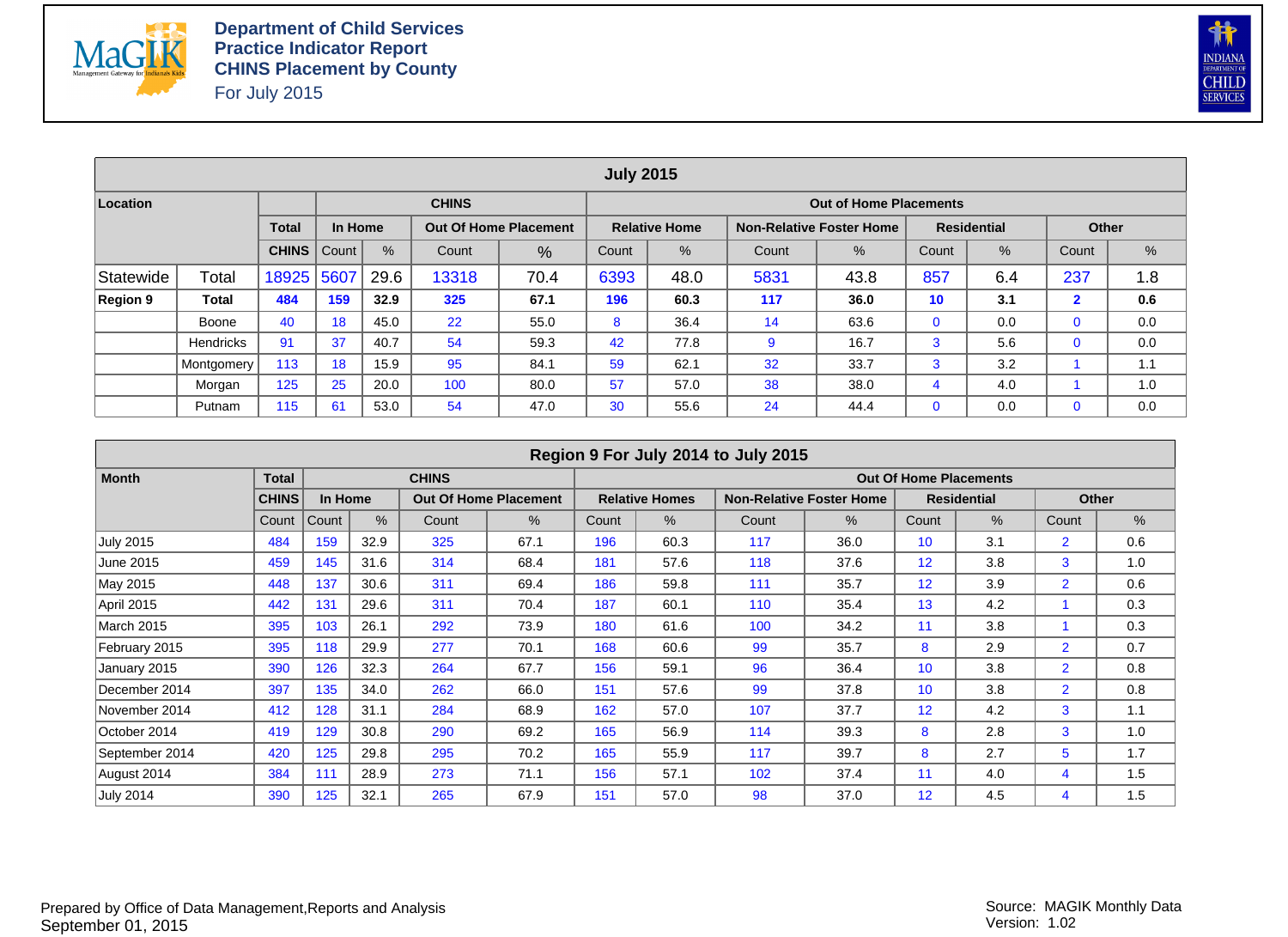



|           |                  |              |         |      |                                                                          |                              | <b>July 2015</b> |                      |      |                                 |     |                    |                |     |  |
|-----------|------------------|--------------|---------|------|--------------------------------------------------------------------------|------------------------------|------------------|----------------------|------|---------------------------------|-----|--------------------|----------------|-----|--|
| Location  |                  |              |         |      | <b>CHINS</b>                                                             |                              |                  |                      |      | <b>Out of Home Placements</b>   |     |                    |                |     |  |
|           |                  | <b>Total</b> | In Home |      |                                                                          | <b>Out Of Home Placement</b> |                  | <b>Relative Home</b> |      | <b>Non-Relative Foster Home</b> |     | <b>Residential</b> | <b>Other</b>   |     |  |
|           |                  | <b>CHINS</b> | Count   | %    | $\%$<br>%<br>%<br>$\%$<br>Count<br>Count<br>Count<br>Count<br>%<br>Count |                              |                  |                      |      |                                 |     |                    |                |     |  |
| Statewide | Total            | 18925        | 5607    | 29.6 | 13318                                                                    | 70.4                         | 6393             | 48.0                 | 5831 | 43.8                            | 857 | 6.4                | 237            | 1.8 |  |
| Region 9  | Total            | 484          | 159     | 32.9 | 325                                                                      | 67.1                         | 196              | 60.3                 | 117  | 36.0                            | 10  | 3.1                | $\overline{2}$ | 0.6 |  |
|           | Boone            | 40           | 18      | 45.0 | 22                                                                       | 55.0                         | 8                | 36.4                 | 14   | 63.6                            | 0   | 0.0                | $\mathbf 0$    | 0.0 |  |
|           | <b>Hendricks</b> | 91           | 37      | 40.7 | 54                                                                       | 59.3                         | 42               | 77.8                 | 9    | 16.7                            | 3   | 5.6                | $\mathbf 0$    | 0.0 |  |
|           | Montgomery       | 113          | 18      | 15.9 | 95                                                                       | 84.1                         | 59               | 62.1                 | 32   | 33.7                            | 3   | 3.2                |                | 1.1 |  |
|           | Morgan           | 125          | 25      | 20.0 | 100                                                                      | 80.0                         | 57               | 57.0                 | 38   | 38.0                            | 4   | 4.0                |                | 1.0 |  |
|           | Putnam           | 115          | 61      | 53.0 | 54                                                                       | 47.0                         | 30               | 55.6                 | 24   | 44.4                            | 0   | 0.0                | 0              | 0.0 |  |

|                  |              |         |      |              |                              |       |                       | Region 9 For July 2014 to July 2015 |                                 |                               |                    |                |              |
|------------------|--------------|---------|------|--------------|------------------------------|-------|-----------------------|-------------------------------------|---------------------------------|-------------------------------|--------------------|----------------|--------------|
| <b>Month</b>     | <b>Total</b> |         |      | <b>CHINS</b> |                              |       |                       |                                     |                                 | <b>Out Of Home Placements</b> |                    |                |              |
|                  | <b>CHINS</b> | In Home |      |              | <b>Out Of Home Placement</b> |       | <b>Relative Homes</b> |                                     | <b>Non-Relative Foster Home</b> |                               | <b>Residential</b> |                | <b>Other</b> |
|                  | Count        | Count   | $\%$ | Count        | $\%$                         | Count | $\%$                  | Count                               | $\%$                            | Count                         | $\%$               | Count          | $\%$         |
| <b>July 2015</b> | 484          | 159     | 32.9 | 325          | 67.1                         | 196   | 60.3                  | 117                                 | 36.0                            | 10                            | 3.1                | $\overline{2}$ | 0.6          |
| June 2015        | 459          | 145     | 31.6 | 314          | 68.4                         | 181   | 57.6                  | 118                                 | 37.6                            | 12                            | 3.8                | 3              | 1.0          |
| May 2015         | 448          | 137     | 30.6 | 311          | 69.4                         | 186   | 59.8                  | 111                                 | 35.7                            | 12                            | 3.9                | $\overline{2}$ | 0.6          |
| April 2015       | 442          | 131     | 29.6 | 311          | 70.4                         | 187   | 60.1                  | 110                                 | 35.4                            | 13                            | 4.2                |                | 0.3          |
| March 2015       | 395          | 103     | 26.1 | 292          | 73.9                         | 180   | 61.6                  | 100                                 | 34.2                            | 11                            | 3.8                |                | 0.3          |
| February 2015    | 395          | 118     | 29.9 | 277          | 70.1                         | 168   | 60.6                  | 99                                  | 35.7                            | 8                             | 2.9                | $\overline{2}$ | 0.7          |
| January 2015     | 390          | 126     | 32.3 | 264          | 67.7                         | 156   | 59.1                  | 96                                  | 36.4                            | 10                            | 3.8                | $\overline{2}$ | 0.8          |
| December 2014    | 397          | 135     | 34.0 | 262          | 66.0                         | 151   | 57.6                  | 99                                  | 37.8                            | 10                            | 3.8                | $\overline{2}$ | 0.8          |
| November 2014    | 412          | 128     | 31.1 | 284          | 68.9                         | 162   | 57.0                  | 107                                 | 37.7                            | 12                            | 4.2                | 3              | 1.1          |
| October 2014     | 419          | 129     | 30.8 | 290          | 69.2                         | 165   | 56.9                  | 114                                 | 39.3                            | 8                             | 2.8                | 3              | 1.0          |
| September 2014   | 420          | 125     | 29.8 | 295          | 70.2                         | 165   | 55.9                  | 117                                 | 39.7                            | 8                             | 2.7                | 5              | 1.7          |
| August 2014      | 384          | 111     | 28.9 | 273          | 71.1                         | 156   | 57.1                  | 102                                 | 37.4                            | 11                            | 4.0                | 4              | 1.5          |
| <b>July 2014</b> | 390          | 125     | 32.1 | 265          | 67.9                         | 151   | 57.0                  | 98                                  | 37.0                            | 12                            | 4.5                | 4              | 1.5          |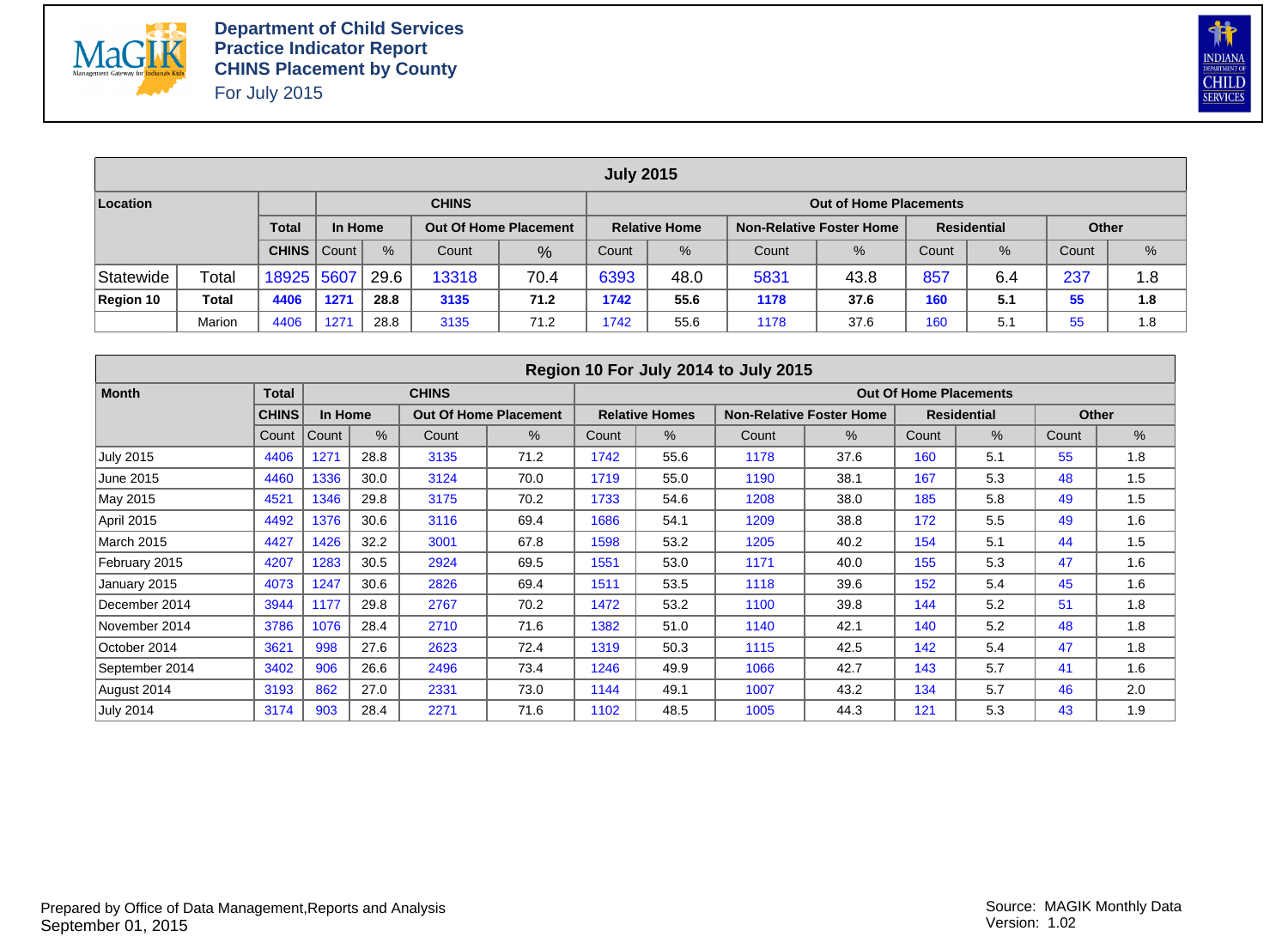



|                                                                                                                                                   |        |            |      |      |              |      | <b>July 2015</b> |               |       |                               |       |      |       |               |
|---------------------------------------------------------------------------------------------------------------------------------------------------|--------|------------|------|------|--------------|------|------------------|---------------|-------|-------------------------------|-------|------|-------|---------------|
| Location                                                                                                                                          |        |            |      |      | <b>CHINS</b> |      |                  |               |       | <b>Out of Home Placements</b> |       |      |       |               |
| <b>Total</b><br><b>Residential</b><br>In Home<br><b>Non-Relative Foster Home</b><br><b>Relative Home</b><br><b>Out Of Home Placement</b><br>Other |        |            |      |      |              |      |                  |               |       |                               |       |      |       |               |
| %<br><b>CHINS</b>   Count  <br>Count<br>%                                                                                                         |        |            |      |      |              |      | Count            | $\frac{9}{6}$ | Count | $\%$                          | Count | $\%$ | Count | $\frac{9}{6}$ |
| Statewide                                                                                                                                         | Total  | 18925 5607 |      | 29.6 | 13318        | 70.4 | 6393             | 48.0          | 5831  | 43.8                          | 857   | 6.4  | 237   | 1.8           |
| Region 10                                                                                                                                         | Total  | 4406       | 1271 | 28.8 | 3135         | 71.2 | 1742             | 55.6          | 1178  | 37.6                          | 160   | 5.1  | 55    | 1.8           |
|                                                                                                                                                   | Marion | 4406       | 127' | 28.8 | 3135         | 71.2 | 1742             | 55.6          | 1178  | 37.6                          | 160   | 5.1  | 55    | 1.8           |

|                   |              |         |      |              |                              |       |                       | Region 10 For July 2014 to July 2015 |                                 |                               |                    |       |       |
|-------------------|--------------|---------|------|--------------|------------------------------|-------|-----------------------|--------------------------------------|---------------------------------|-------------------------------|--------------------|-------|-------|
| <b>Month</b>      | <b>Total</b> |         |      | <b>CHINS</b> |                              |       |                       |                                      |                                 | <b>Out Of Home Placements</b> |                    |       |       |
|                   | <b>CHINS</b> | In Home |      |              | <b>Out Of Home Placement</b> |       | <b>Relative Homes</b> |                                      | <b>Non-Relative Foster Home</b> |                               | <b>Residential</b> |       | Other |
|                   | Count        | Count   | $\%$ | Count        | %                            | Count | %                     | Count                                | %                               | Count                         | $\%$               | Count | %     |
| <b>July 2015</b>  | 4406         | 1271    | 28.8 | 3135         | 71.2                         | 1742  | 55.6                  | 1178                                 | 37.6                            | 160                           | 5.1                | 55    | 1.8   |
| June 2015         | 4460         | 1336    | 30.0 | 3124         | 70.0                         | 1719  | 55.0                  | 1190                                 | 38.1                            | 167                           | 5.3                | 48    | 1.5   |
| May 2015          | 4521         | 1346    | 29.8 | 3175         | 70.2                         | 1733  | 54.6                  | 1208                                 | 38.0                            | 185                           | 5.8                | 49    | 1.5   |
| April 2015        | 4492         | 1376    | 30.6 | 3116         | 69.4                         | 1686  | 54.1                  | 1209                                 | 38.8                            | 172                           | 5.5                | 49    | 1.6   |
| <b>March 2015</b> | 4427         | 1426    | 32.2 | 3001         | 67.8                         | 1598  | 53.2                  | 1205                                 | 40.2                            | 154                           | 5.1                | 44    | 1.5   |
| February 2015     | 4207         | 1283    | 30.5 | 2924         | 69.5                         | 1551  | 53.0                  | 1171                                 | 40.0                            | 155                           | 5.3                | 47    | 1.6   |
| January 2015      | 4073         | 1247    | 30.6 | 2826         | 69.4                         | 1511  | 53.5                  | 1118                                 | 39.6                            | 152                           | 5.4                | 45    | 1.6   |
| December 2014     | 3944         | 1177    | 29.8 | 2767         | 70.2                         | 1472  | 53.2                  | 1100                                 | 39.8                            | 144                           | 5.2                | 51    | 1.8   |
| November 2014     | 3786         | 1076    | 28.4 | 2710         | 71.6                         | 1382  | 51.0                  | 1140                                 | 42.1                            | 140                           | 5.2                | 48    | 1.8   |
| October 2014      | 3621         | 998     | 27.6 | 2623         | 72.4                         | 1319  | 50.3                  | 1115                                 | 42.5                            | 142                           | 5.4                | 47    | 1.8   |
| September 2014    | 3402         | 906     | 26.6 | 2496         | 73.4                         | 1246  | 49.9                  | 1066                                 | 42.7                            | 143                           | 5.7                | 41    | 1.6   |
| August 2014       | 3193         | 862     | 27.0 | 2331         | 73.0                         | 1144  | 49.1                  | 1007                                 | 43.2                            | 134                           | 5.7                | 46    | 2.0   |
| <b>July 2014</b>  | 3174         | 903     | 28.4 | 2271         | 71.6                         | 1102  | 48.5                  | 1005                                 | 44.3                            | 121                           | 5.3                | 43    | 1.9   |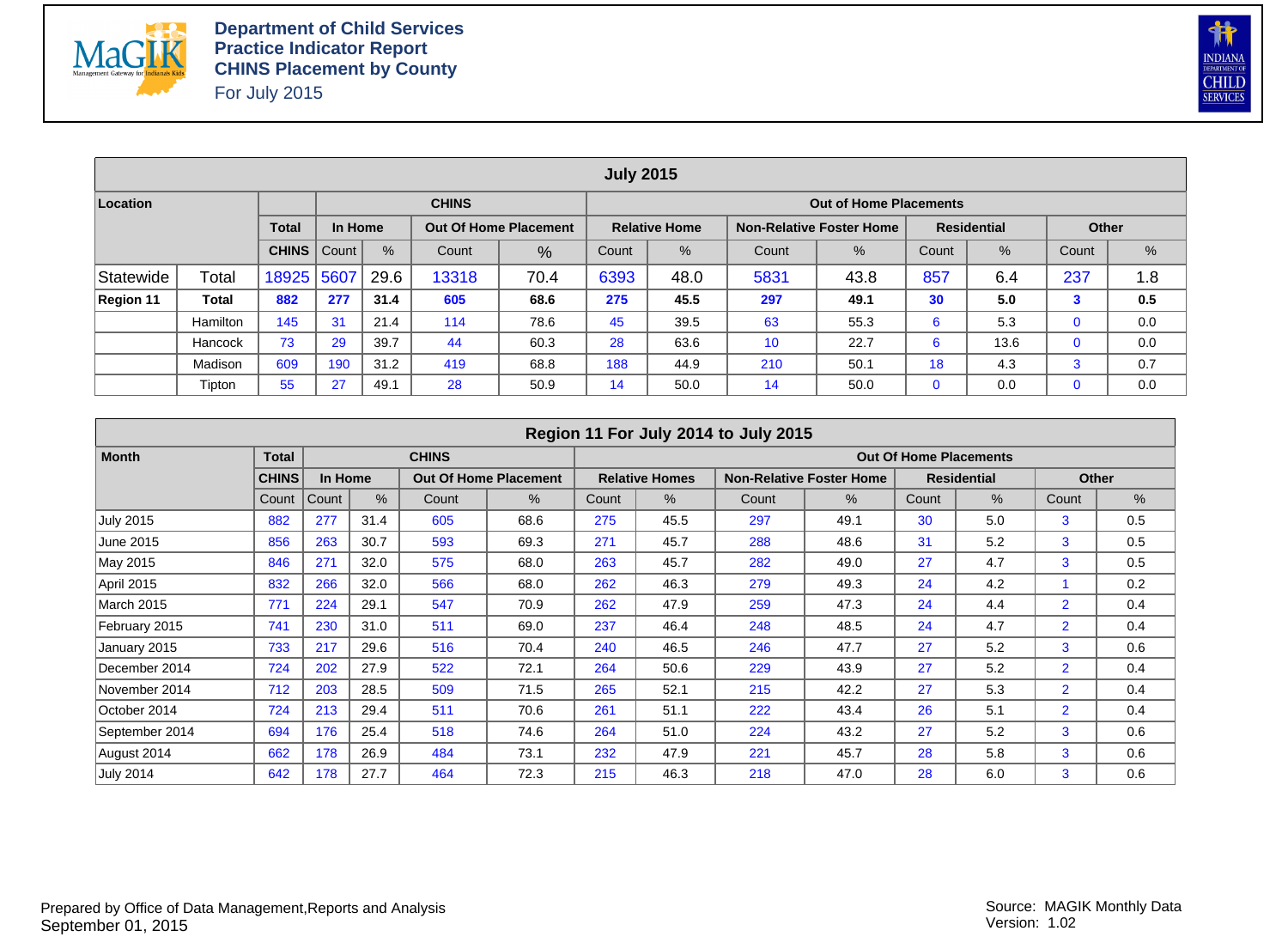



|           |                 |              |         |      |                                                                                      |                              | <b>July 2015</b> |                      |     |                                 |             |                    |             |     |  |  |
|-----------|-----------------|--------------|---------|------|--------------------------------------------------------------------------------------|------------------------------|------------------|----------------------|-----|---------------------------------|-------------|--------------------|-------------|-----|--|--|
| Location  |                 |              |         |      | <b>CHINS</b>                                                                         |                              |                  |                      |     | <b>Out of Home Placements</b>   |             |                    |             |     |  |  |
|           |                 | <b>Total</b> | In Home |      |                                                                                      | <b>Out Of Home Placement</b> |                  | <b>Relative Home</b> |     | <b>Non-Relative Foster Home</b> |             | <b>Residential</b> | Other       |     |  |  |
|           |                 | <b>CHINS</b> | Count   | $\%$ | $\%$<br>$\frac{9}{6}$<br>%<br>$\%$<br>Count<br>Count<br>Count<br>Count<br>%<br>Count |                              |                  |                      |     |                                 |             |                    |             |     |  |  |
| Statewide | Total           | 18925        | 5607    | 29.6 | 237<br>857<br>13318<br>6393<br>5831<br>70.4<br>48.0<br>43.8<br>6.4                   |                              |                  |                      |     |                                 |             |                    |             |     |  |  |
| Region 11 | Total           | 882          | 277     | 31.4 | 605                                                                                  | 68.6                         | 275              | 45.5                 | 297 | 49.1                            | 30          | 5.0                | 3           | 0.5 |  |  |
|           | <b>Hamilton</b> | 145          | 31      | 21.4 | 114                                                                                  | 78.6                         | 45               | 39.5                 | 63  | 55.3                            | 6           | 5.3                | $\mathbf 0$ | 0.0 |  |  |
|           | Hancock         | 73           | 29      | 39.7 | 44                                                                                   | 60.3                         | 28               | 63.6                 | 10  | 22.7                            | 6           | 13.6               | $\mathbf 0$ | 0.0 |  |  |
|           | Madison         | 609          | 190     | 31.2 | 419                                                                                  | 68.8                         | 188              | 44.9                 | 210 | 50.1                            | 18          | 4.3                | 3           | 0.7 |  |  |
|           | Tipton          | 55           | 27      | 49.1 | 28                                                                                   | 50.9                         | 14               | 50.0                 | 14  | 50.0                            | $\mathbf 0$ | 0.0                | 0           | 0.0 |  |  |

|                   |              |         |      |              |                              |       |                       | Region 11 For July 2014 to July 2015 |                                 |                               |                    |                |       |
|-------------------|--------------|---------|------|--------------|------------------------------|-------|-----------------------|--------------------------------------|---------------------------------|-------------------------------|--------------------|----------------|-------|
| <b>Month</b>      | <b>Total</b> |         |      | <b>CHINS</b> |                              |       |                       |                                      |                                 | <b>Out Of Home Placements</b> |                    |                |       |
|                   | <b>CHINS</b> | In Home |      |              | <b>Out Of Home Placement</b> |       | <b>Relative Homes</b> |                                      | <b>Non-Relative Foster Home</b> |                               | <b>Residential</b> |                | Other |
|                   | Count        | Count   | $\%$ | Count        | $\%$                         | Count | %                     | Count                                | %                               | Count                         | $\%$               | Count          | %     |
| <b>July 2015</b>  | 882          | 277     | 31.4 | 605          | 68.6                         | 275   | 45.5                  | 297                                  | 49.1                            | 30                            | 5.0                | 3              | 0.5   |
| June 2015         | 856          | 263     | 30.7 | 593          | 69.3                         | 271   | 45.7                  | 288                                  | 48.6                            | 31                            | 5.2                | 3              | 0.5   |
| May 2015          | 846          | 271     | 32.0 | 575          | 68.0                         | 263   | 45.7                  | 282                                  | 49.0                            | 27                            | 4.7                | 3              | 0.5   |
| April 2015        | 832          | 266     | 32.0 | 566          | 68.0                         | 262   | 46.3                  | 279                                  | 49.3                            | 24                            | 4.2                |                | 0.2   |
| <b>March 2015</b> | 771          | 224     | 29.1 | 547          | 70.9                         | 262   | 47.9                  | 259                                  | 47.3                            | 24                            | 4.4                | $\overline{2}$ | 0.4   |
| February 2015     | 741          | 230     | 31.0 | 511          | 69.0                         | 237   | 46.4                  | 248                                  | 48.5                            | 24                            | 4.7                | $\overline{2}$ | 0.4   |
| January 2015      | 733          | 217     | 29.6 | 516          | 70.4                         | 240   | 46.5                  | 246                                  | 47.7                            | 27                            | 5.2                | 3              | 0.6   |
| December 2014     | 724          | 202     | 27.9 | 522          | 72.1                         | 264   | 50.6                  | 229                                  | 43.9                            | 27                            | 5.2                | $\overline{2}$ | 0.4   |
| November 2014     | 712          | 203     | 28.5 | 509          | 71.5                         | 265   | 52.1                  | 215                                  | 42.2                            | 27                            | 5.3                | $\overline{2}$ | 0.4   |
| October 2014      | 724          | 213     | 29.4 | 511          | 70.6                         | 261   | 51.1                  | 222                                  | 43.4                            | 26                            | 5.1                | $\overline{2}$ | 0.4   |
| September 2014    | 694          | 176     | 25.4 | 518          | 74.6                         | 264   | 51.0                  | 224                                  | 43.2                            | 27                            | 5.2                | 3              | 0.6   |
| August 2014       | 662          | 178     | 26.9 | 484          | 73.1                         | 232   | 47.9                  | 221                                  | 45.7                            | 28                            | 5.8                | 3              | 0.6   |
| <b>July 2014</b>  | 642          | 178     | 27.7 | 464          | 72.3                         | 215   | 46.3                  | 218                                  | 47.0                            | 28                            | 6.0                | 3              | 0.6   |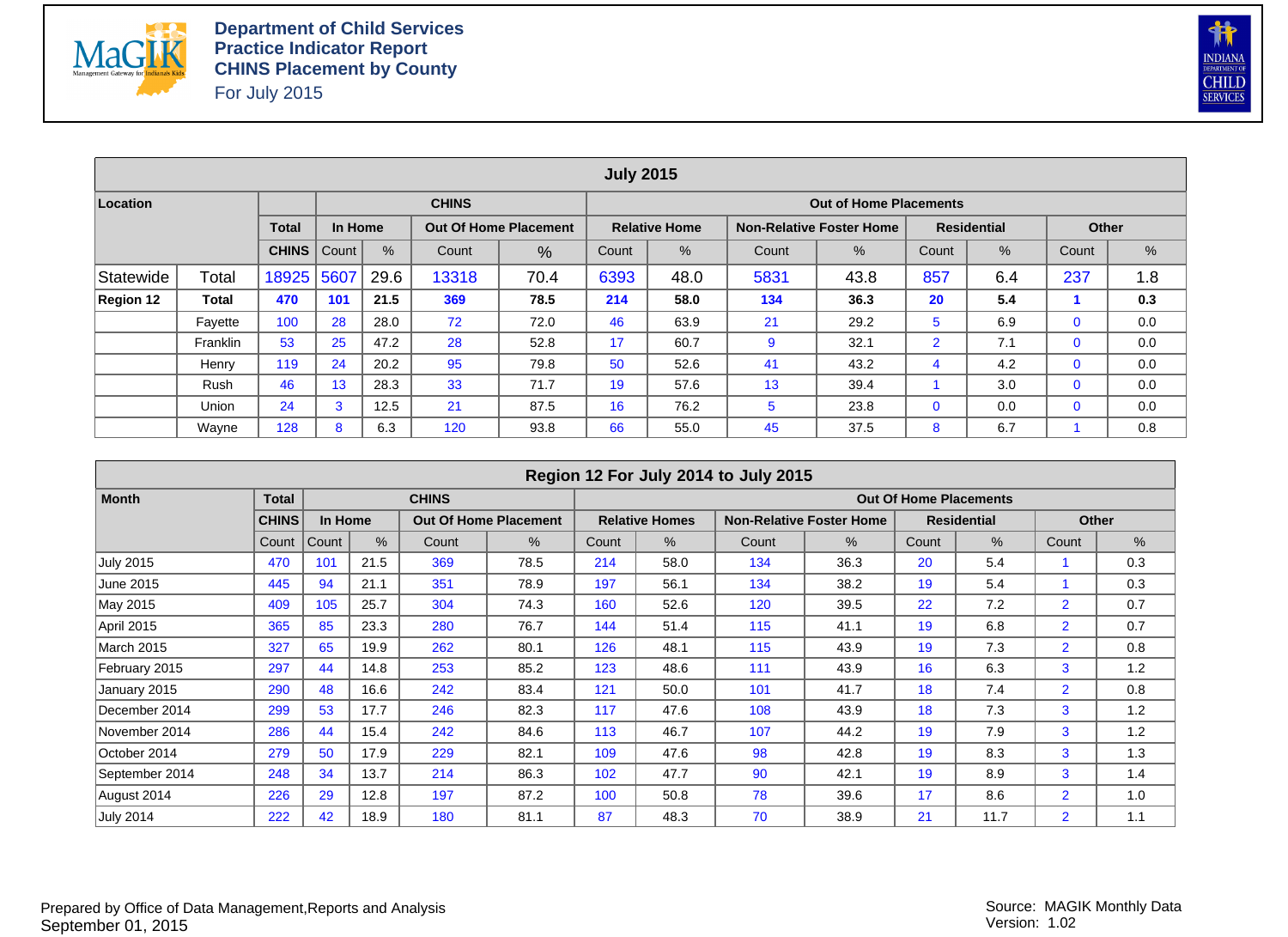



|           |          |              |         |      |              |                              | <b>July 2015</b> |                      |       |                                 |                |                    |              |     |
|-----------|----------|--------------|---------|------|--------------|------------------------------|------------------|----------------------|-------|---------------------------------|----------------|--------------------|--------------|-----|
| Location  |          |              |         |      | <b>CHINS</b> |                              |                  |                      |       | <b>Out of Home Placements</b>   |                |                    |              |     |
|           |          | <b>Total</b> | In Home |      |              | <b>Out Of Home Placement</b> |                  | <b>Relative Home</b> |       | <b>Non-Relative Foster Home</b> |                | <b>Residential</b> | <b>Other</b> |     |
|           |          | <b>CHINS</b> | Count   | %    | Count        | $\%$                         | Count            | $\%$                 | Count | %                               | Count          | %                  | Count        | %   |
| Statewide | Total    | 18925        | 5607    | 29.6 | 13318        | 70.4                         | 6393             | 48.0                 | 5831  | 43.8                            | 857            | 6.4                | 237          | 1.8 |
| Region 12 | Total    | 470          | 101     | 21.5 | 369          | 78.5                         | 214              | 58.0                 | 134   | 36.3                            | 20             | 5.4                |              | 0.3 |
|           | Fayette  | 100          | 28      | 28.0 | 72           | 72.0                         | 46               | 63.9                 | 21    | 29.2                            | 5              | 6.9                | $\mathbf{0}$ | 0.0 |
|           | Franklin | 53           | 25      | 47.2 | 28           | 52.8                         | 17               | 60.7                 | 9     | 32.1                            | $\overline{2}$ | 7.1                | $\mathbf 0$  | 0.0 |
|           | Henry    | 119          | 24      | 20.2 | 95           | 79.8                         | 50               | 52.6                 | 41    | 43.2                            | 4              | 4.2                | $\mathbf 0$  | 0.0 |
|           | Rush     | 46           | 13      | 28.3 | 33           | 71.7                         | 19               | 57.6                 | 13    | 39.4                            |                | 3.0                | $\mathbf 0$  | 0.0 |
|           | Union    | 24           | 3       | 12.5 | 21           | 87.5                         | 16               | 76.2                 | 5     | 23.8                            | $\mathbf{0}$   | 0.0                | $\mathbf 0$  | 0.0 |
|           | Wayne    | 128          | 8       | 6.3  | 120          | 93.8                         | 66               | 55.0                 | 45    | 37.5                            | 8              | 6.7                |              | 0.8 |

|                   |              |         |      |              |                              |       |                       | Region 12 For July 2014 to July 2015 |                                 |                               |                    |                |       |
|-------------------|--------------|---------|------|--------------|------------------------------|-------|-----------------------|--------------------------------------|---------------------------------|-------------------------------|--------------------|----------------|-------|
| <b>Month</b>      | <b>Total</b> |         |      | <b>CHINS</b> |                              |       |                       |                                      |                                 | <b>Out Of Home Placements</b> |                    |                |       |
|                   | <b>CHINS</b> | In Home |      |              | <b>Out Of Home Placement</b> |       | <b>Relative Homes</b> |                                      | <b>Non-Relative Foster Home</b> |                               | <b>Residential</b> |                | Other |
|                   | Count        | Count   | $\%$ | Count        | %                            | Count | $\%$                  | Count                                | $\%$                            | Count                         | %                  | Count          | %     |
| <b>July 2015</b>  | 470          | 101     | 21.5 | 369          | 78.5                         | 214   | 58.0                  | 134                                  | 36.3                            | 20                            | 5.4                |                | 0.3   |
| June 2015         | 445          | 94      | 21.1 | 351          | 78.9                         | 197   | 56.1                  | 134                                  | 38.2                            | 19                            | 5.4                |                | 0.3   |
| May 2015          | 409          | 105     | 25.7 | 304          | 74.3                         | 160   | 52.6                  | 120                                  | 39.5                            | 22                            | 7.2                | $\overline{2}$ | 0.7   |
| <b>April 2015</b> | 365          | 85      | 23.3 | 280          | 76.7                         | 144   | 51.4                  | 115                                  | 41.1                            | 19                            | 6.8                | $\overline{2}$ | 0.7   |
| <b>March 2015</b> | 327          | 65      | 19.9 | 262          | 80.1                         | 126   | 48.1                  | 115                                  | 43.9                            | 19                            | 7.3                | $\overline{2}$ | 0.8   |
| February 2015     | 297          | 44      | 14.8 | 253          | 85.2                         | 123   | 48.6                  | 111                                  | 43.9                            | 16                            | 6.3                | 3              | 1.2   |
| January 2015      | 290          | 48      | 16.6 | 242          | 83.4                         | 121   | 50.0                  | 101                                  | 41.7                            | 18                            | 7.4                | $\overline{2}$ | 0.8   |
| December 2014     | 299          | 53      | 17.7 | 246          | 82.3                         | 117   | 47.6                  | 108                                  | 43.9                            | 18                            | 7.3                | 3              | 1.2   |
| November 2014     | 286          | 44      | 15.4 | 242          | 84.6                         | 113   | 46.7                  | 107                                  | 44.2                            | 19                            | 7.9                | 3              | 1.2   |
| October 2014      | 279          | 50      | 17.9 | 229          | 82.1                         | 109   | 47.6                  | 98                                   | 42.8                            | 19                            | 8.3                | 3              | 1.3   |
| September 2014    | 248          | 34      | 13.7 | 214          | 86.3                         | 102   | 47.7                  | 90                                   | 42.1                            | 19                            | 8.9                | 3              | 1.4   |
| August 2014       | 226          | 29      | 12.8 | 197          | 87.2                         | 100   | 50.8                  | 78                                   | 39.6                            | 17                            | 8.6                | $\overline{2}$ | 1.0   |
| <b>July 2014</b>  | 222          | 42      | 18.9 | 180          | 81.1                         | 87    | 48.3                  | 70                                   | 38.9                            | 21                            | 11.7               | $\overline{2}$ | 1.1   |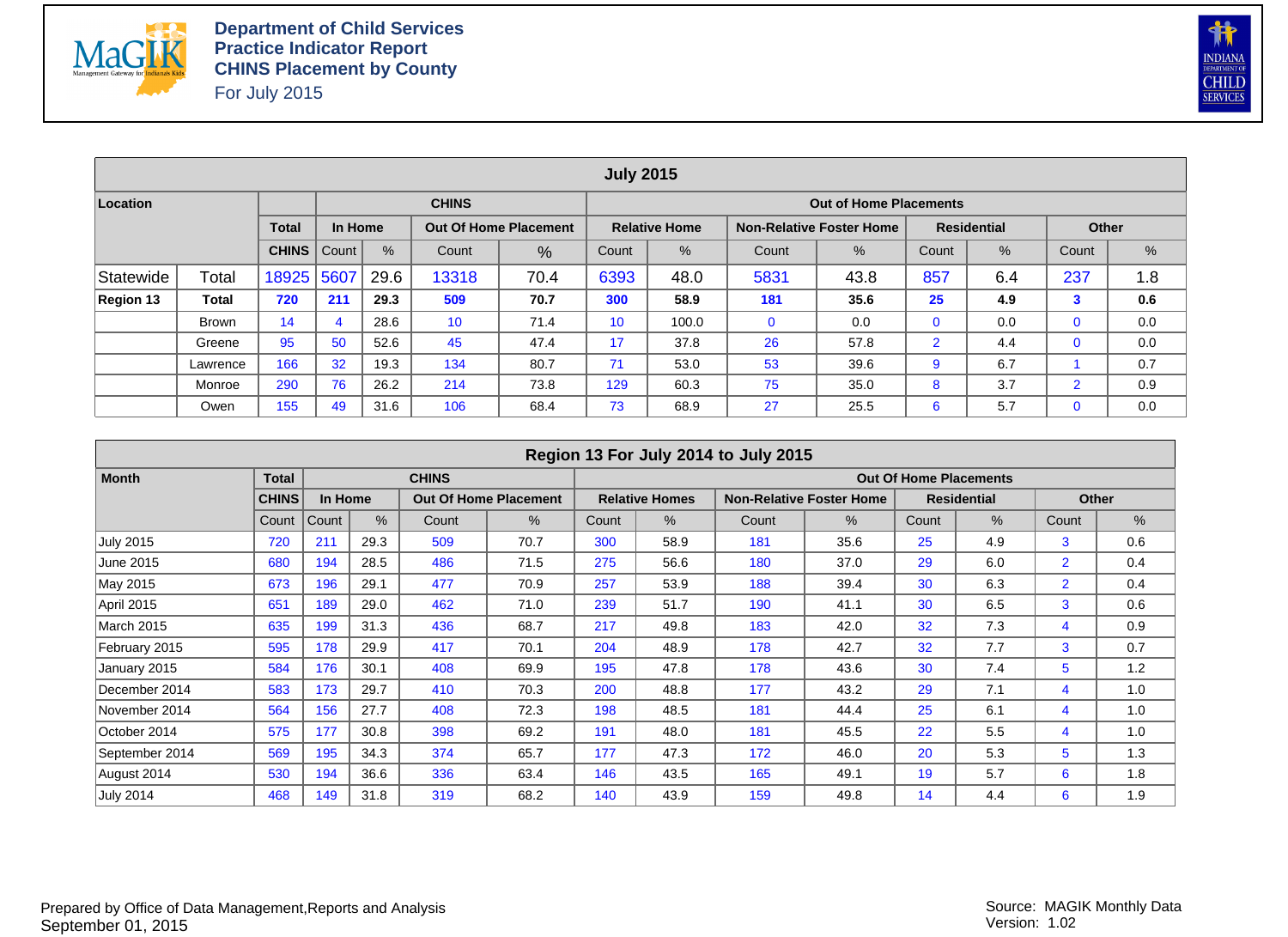



|           |              |              |         |      |                                                                                                                        |      | <b>July 2015</b> |       |             |                               |                |     |                |     |  |  |
|-----------|--------------|--------------|---------|------|------------------------------------------------------------------------------------------------------------------------|------|------------------|-------|-------------|-------------------------------|----------------|-----|----------------|-----|--|--|
| Location  |              |              |         |      | <b>CHINS</b>                                                                                                           |      |                  |       |             | <b>Out of Home Placements</b> |                |     |                |     |  |  |
|           |              | <b>Total</b> | In Home |      | <b>Residential</b><br><b>Out Of Home Placement</b><br><b>Relative Home</b><br><b>Non-Relative Foster Home</b><br>Other |      |                  |       |             |                               |                |     |                |     |  |  |
|           |              | <b>CHINS</b> | Count   | %    | $\%$<br>%<br>%<br>$\frac{9}{6}$<br>Count<br>Count<br>Count<br>Count<br>%<br>Count                                      |      |                  |       |             |                               |                |     |                |     |  |  |
| Statewide | Total        | 18925        | 5607    | 29.6 | 857<br>237<br>13318<br>5831<br>70.4<br>6393<br>48.0<br>43.8<br>6.4<br>1.8                                              |      |                  |       |             |                               |                |     |                |     |  |  |
| Region 13 | Total        | 720          | 211     | 29.3 | 509                                                                                                                    | 70.7 | 300              | 58.9  | 181         | 35.6                          | 25             | 4.9 | 3              | 0.6 |  |  |
|           | <b>Brown</b> | 14           | 4       | 28.6 | 10                                                                                                                     | 71.4 | 10               | 100.0 | $\mathbf 0$ | 0.0                           | $\mathbf{0}$   | 0.0 | $\mathbf 0$    | 0.0 |  |  |
|           | Greene       | 95           | 50      | 52.6 | 45                                                                                                                     | 47.4 | 17               | 37.8  | 26          | 57.8                          | $\overline{2}$ | 4.4 | $\mathbf 0$    | 0.0 |  |  |
|           | Lawrence     | 166          | 32      | 19.3 | 134                                                                                                                    | 80.7 | 71               | 53.0  | 53          | 39.6                          | 9              | 6.7 |                | 0.7 |  |  |
|           | Monroe       | 290          | 76      | 26.2 | 214                                                                                                                    | 73.8 | 129              | 60.3  | 75          | 35.0                          | 8              | 3.7 | $\overline{2}$ | 0.9 |  |  |
|           | Owen         | 155          | 49      | 31.6 | 106                                                                                                                    | 68.4 | 73               | 68.9  | 27          | 25.5                          | 6              | 5.7 | 0              | 0.0 |  |  |

|                  |              |         |      |              |                              |       |                       | Region 13 For July 2014 to July 2015 |                                 |                               |                    |                |       |
|------------------|--------------|---------|------|--------------|------------------------------|-------|-----------------------|--------------------------------------|---------------------------------|-------------------------------|--------------------|----------------|-------|
| <b>Month</b>     | <b>Total</b> |         |      | <b>CHINS</b> |                              |       |                       |                                      |                                 | <b>Out Of Home Placements</b> |                    |                |       |
|                  | <b>CHINS</b> | In Home |      |              | <b>Out Of Home Placement</b> |       | <b>Relative Homes</b> |                                      | <b>Non-Relative Foster Home</b> |                               | <b>Residential</b> |                | Other |
|                  | Count        | Count   | $\%$ | Count        | %                            | Count | %                     | Count                                | %                               | Count                         | %                  | Count          | %     |
| <b>July 2015</b> | 720          | 211     | 29.3 | 509          | 70.7                         | 300   | 58.9                  | 181                                  | 35.6                            | 25                            | 4.9                | 3              | 0.6   |
| June 2015        | 680          | 194     | 28.5 | 486          | 71.5                         | 275   | 56.6                  | 180                                  | 37.0                            | 29                            | 6.0                | $\overline{2}$ | 0.4   |
| May 2015         | 673          | 196     | 29.1 | 477          | 70.9                         | 257   | 53.9                  | 188                                  | 39.4                            | 30                            | 6.3                | $\overline{2}$ | 0.4   |
| April 2015       | 651          | 189     | 29.0 | 462          | 71.0                         | 239   | 51.7                  | 190                                  | 41.1                            | 30                            | 6.5                | 3              | 0.6   |
| March 2015       | 635          | 199     | 31.3 | 436          | 68.7                         | 217   | 49.8                  | 183                                  | 42.0                            | 32                            | 7.3                | 4              | 0.9   |
| February 2015    | 595          | 178     | 29.9 | 417          | 70.1                         | 204   | 48.9                  | 178                                  | 42.7                            | 32                            | 7.7                | 3              | 0.7   |
| January 2015     | 584          | 176     | 30.1 | 408          | 69.9                         | 195   | 47.8                  | 178                                  | 43.6                            | 30                            | 7.4                | 5              | 1.2   |
| December 2014    | 583          | 173     | 29.7 | 410          | 70.3                         | 200   | 48.8                  | 177                                  | 43.2                            | 29                            | 7.1                | 4              | 1.0   |
| November 2014    | 564          | 156     | 27.7 | 408          | 72.3                         | 198   | 48.5                  | 181                                  | 44.4                            | 25                            | 6.1                | 4              | 1.0   |
| October 2014     | 575          | 177     | 30.8 | 398          | 69.2                         | 191   | 48.0                  | 181                                  | 45.5                            | 22                            | 5.5                | 4              | 1.0   |
| September 2014   | 569          | 195     | 34.3 | 374          | 65.7                         | 177   | 47.3                  | 172                                  | 46.0                            | 20                            | 5.3                | 5              | 1.3   |
| August 2014      | 530          | 194     | 36.6 | 336          | 63.4                         | 146   | 43.5                  | 165                                  | 49.1                            | 19                            | 5.7                | 6              | 1.8   |
| July 2014        | 468          | 149     | 31.8 | 319          | 68.2                         | 140   | 43.9                  | 159                                  | 49.8                            | 14                            | 4.4                | 6              | 1.9   |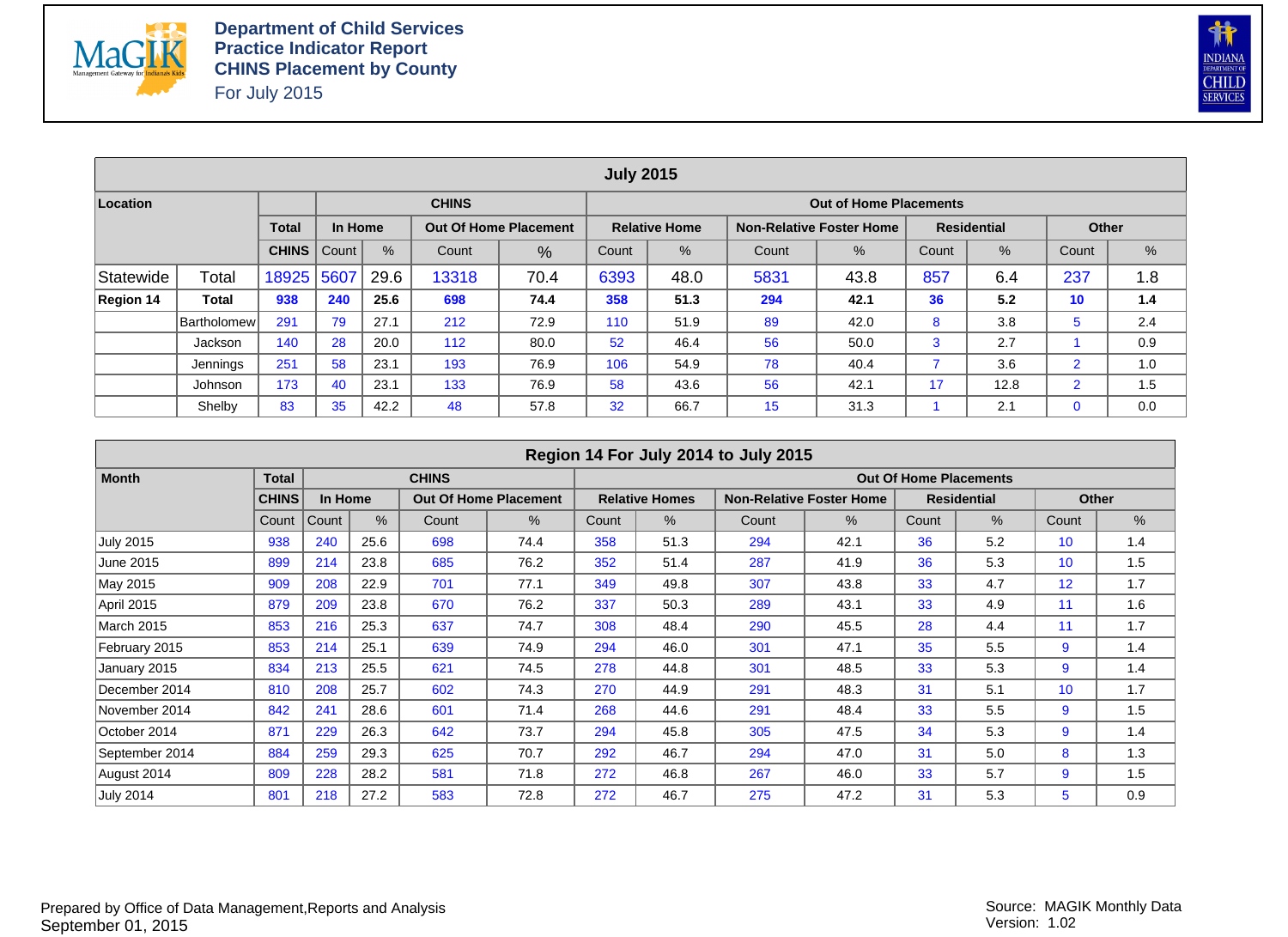



|           |                    |              |         |      |              |                              | <b>July 2015</b>                                              |                      |      |                                 |     |                    |                |     |  |  |  |  |
|-----------|--------------------|--------------|---------|------|--------------|------------------------------|---------------------------------------------------------------|----------------------|------|---------------------------------|-----|--------------------|----------------|-----|--|--|--|--|
| Location  |                    |              |         |      | <b>CHINS</b> |                              |                                                               |                      |      | <b>Out of Home Placements</b>   |     |                    |                |     |  |  |  |  |
|           |                    | <b>Total</b> | In Home |      |              | <b>Out Of Home Placement</b> |                                                               | <b>Relative Home</b> |      | <b>Non-Relative Foster Home</b> |     | <b>Residential</b> | Other          |     |  |  |  |  |
|           |                    | <b>CHINS</b> | Count   | %    | Count        | %                            | $\%$<br>$\%$<br>%<br>$\%$<br>Count<br>Count<br>Count<br>Count |                      |      |                                 |     |                    |                |     |  |  |  |  |
| Statewide | Total              | 18925        | 5607    | 29.6 | 13318        | 70.4                         | 6393                                                          | 48.0                 | 5831 | 43.8                            | 857 | 6.4                | 237            | 1.8 |  |  |  |  |
| Region 14 | Total              | 938          | 240     | 25.6 | 698          | 74.4                         | 358                                                           | 51.3                 | 294  | 42.1                            | 36  | 5.2                | 10             | 1.4 |  |  |  |  |
|           | <b>Bartholomew</b> | 291          | 79      | 27.1 | 212          | 72.9                         | 110                                                           | 51.9                 | 89   | 42.0                            | 8   | 3.8                | $5^{\circ}$    | 2.4 |  |  |  |  |
|           | Jackson            | 140          | 28      | 20.0 | 112          | 80.0                         | 52                                                            | 46.4                 | 56   | 50.0                            | 3   | 2.7                |                | 0.9 |  |  |  |  |
|           | Jennings           | 251          | 58      | 23.1 | 193          | 76.9                         | 106                                                           | 54.9                 | 78   | 40.4                            |     | 3.6                | $\overline{2}$ | 1.0 |  |  |  |  |
|           | Johnson            | 173          | 40      | 23.1 | 133          | 76.9                         | 58                                                            | 43.6                 | 56   | 42.1                            | 17  | 12.8               | $\overline{2}$ | 1.5 |  |  |  |  |
|           | Shelby             | 83           | 35      | 42.2 | 48           | 57.8                         | 32                                                            | 66.7                 | 15   | 31.3                            |     | 2.1                | $\mathbf 0$    | 0.0 |  |  |  |  |

|                  |              |         |      |              |                              |       |                       | Region 14 For July 2014 to July 2015 |                                 |                               |                    |                   |       |
|------------------|--------------|---------|------|--------------|------------------------------|-------|-----------------------|--------------------------------------|---------------------------------|-------------------------------|--------------------|-------------------|-------|
| <b>Month</b>     | <b>Total</b> |         |      | <b>CHINS</b> |                              |       |                       |                                      |                                 | <b>Out Of Home Placements</b> |                    |                   |       |
|                  | <b>CHINS</b> | In Home |      |              | <b>Out Of Home Placement</b> |       | <b>Relative Homes</b> |                                      | <b>Non-Relative Foster Home</b> |                               | <b>Residential</b> |                   | Other |
|                  | Count        | Count   | $\%$ | Count        | $\%$                         | Count | %                     | Count                                | %                               | Count                         | %                  | Count             | %     |
| <b>July 2015</b> | 938          | 240     | 25.6 | 698          | 74.4                         | 358   | 51.3                  | 294                                  | 42.1                            | 36                            | 5.2                | 10 <sup>°</sup>   | 1.4   |
| June 2015        | 899          | 214     | 23.8 | 685          | 76.2                         | 352   | 51.4                  | 287                                  | 41.9                            | 36                            | 5.3                | 10 <sup>°</sup>   | 1.5   |
| May 2015         | 909          | 208     | 22.9 | 701          | 77.1                         | 349   | 49.8                  | 307                                  | 43.8                            | 33                            | 4.7                | $12 \overline{ }$ | 1.7   |
| April 2015       | 879          | 209     | 23.8 | 670          | 76.2                         | 337   | 50.3                  | 289                                  | 43.1                            | 33                            | 4.9                | 11                | 1.6   |
| March 2015       | 853          | 216     | 25.3 | 637          | 74.7                         | 308   | 48.4                  | 290                                  | 45.5                            | 28                            | 4.4                | 11                | 1.7   |
| February 2015    | 853          | 214     | 25.1 | 639          | 74.9                         | 294   | 46.0                  | 301                                  | 47.1                            | 35                            | 5.5                | 9                 | 1.4   |
| January 2015     | 834          | 213     | 25.5 | 621          | 74.5                         | 278   | 44.8                  | 301                                  | 48.5                            | 33                            | 5.3                | 9                 | 1.4   |
| December 2014    | 810          | 208     | 25.7 | 602          | 74.3                         | 270   | 44.9                  | 291                                  | 48.3                            | 31                            | 5.1                | 10 <sup>°</sup>   | 1.7   |
| November 2014    | 842          | 241     | 28.6 | 601          | 71.4                         | 268   | 44.6                  | 291                                  | 48.4                            | 33                            | 5.5                | 9                 | 1.5   |
| October 2014     | 871          | 229     | 26.3 | 642          | 73.7                         | 294   | 45.8                  | 305                                  | 47.5                            | 34                            | 5.3                | 9                 | 1.4   |
| September 2014   | 884          | 259     | 29.3 | 625          | 70.7                         | 292   | 46.7                  | 294                                  | 47.0                            | 31                            | 5.0                | 8                 | 1.3   |
| August 2014      | 809          | 228     | 28.2 | 581          | 71.8                         | 272   | 46.8                  | 267                                  | 46.0                            | 33                            | 5.7                | 9                 | 1.5   |
| <b>July 2014</b> | 801          | 218     | 27.2 | 583          | 72.8                         | 272   | 46.7                  | 275                                  | 47.2                            | 31                            | 5.3                | 5                 | 0.9   |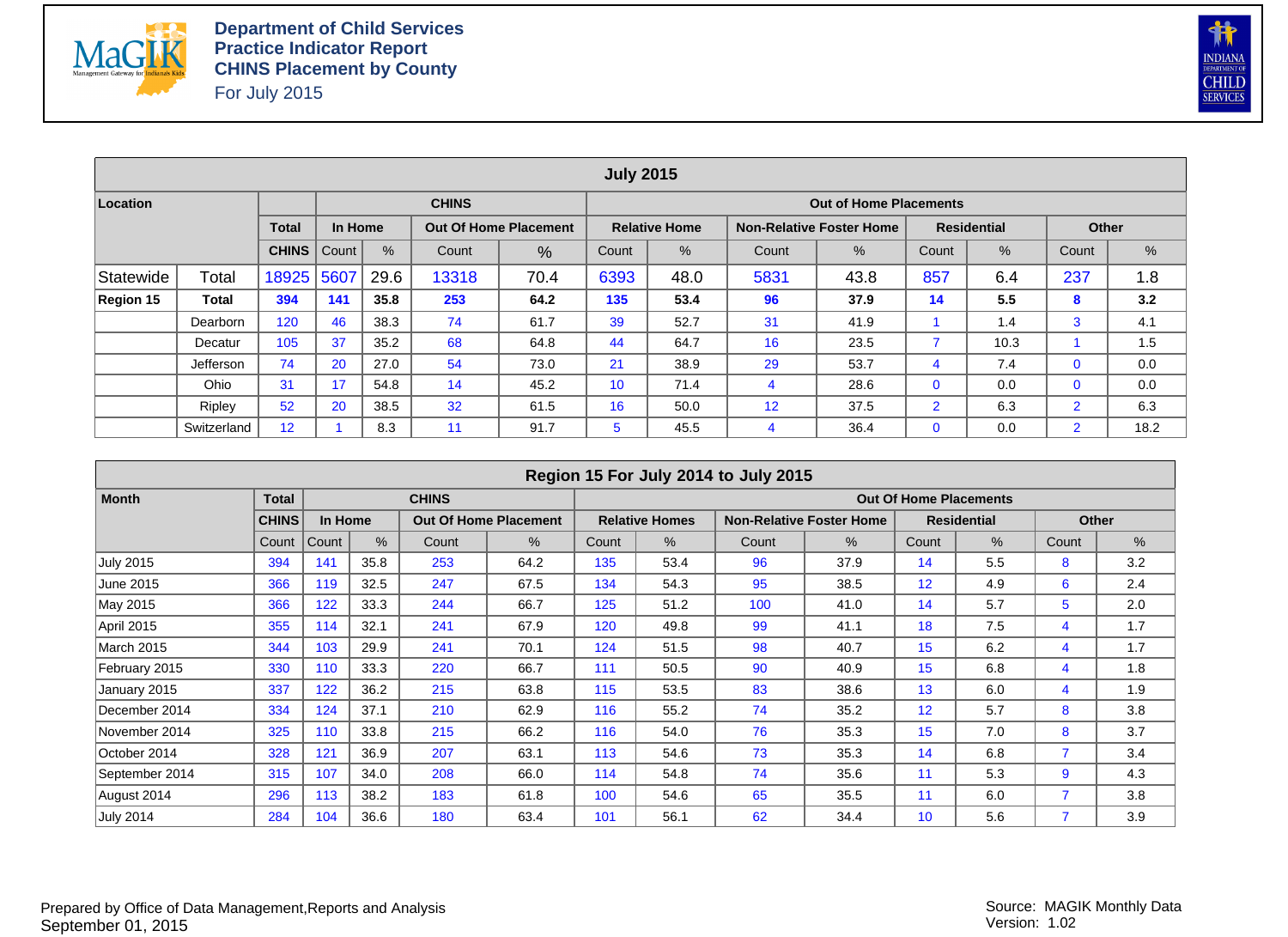



|           |             |              |         |      |                                                                                |                                                                  | <b>July 2015</b> |                      |    |                                 |                |                    |                |      |  |  |
|-----------|-------------|--------------|---------|------|--------------------------------------------------------------------------------|------------------------------------------------------------------|------------------|----------------------|----|---------------------------------|----------------|--------------------|----------------|------|--|--|
| Location  |             |              |         |      | <b>CHINS</b>                                                                   |                                                                  |                  |                      |    | <b>Out of Home Placements</b>   |                |                    |                |      |  |  |
|           |             | <b>Total</b> | In Home |      |                                                                                | <b>Out Of Home Placement</b>                                     |                  | <b>Relative Home</b> |    | <b>Non-Relative Foster Home</b> |                | <b>Residential</b> | Other          |      |  |  |
|           |             | <b>CHINS</b> | Count   | $\%$ | $\frac{9}{6}$<br>%<br>Count<br>%<br>Count<br>%<br>Count<br>Count<br>Count<br>% |                                                                  |                  |                      |    |                                 |                |                    |                |      |  |  |
| Statewide | Total       | 18925        | 5607    | 29.6 | 13318                                                                          | 857<br>237<br>70.4<br>6393<br>48.0<br>5831<br>43.8<br>6.4<br>1.8 |                  |                      |    |                                 |                |                    |                |      |  |  |
| Region 15 | Total       | 394          | 141     | 35.8 | 253                                                                            | 64.2                                                             | 135              | 53.4                 | 96 | 37.9                            | 14             | 5.5                | 8              | 3.2  |  |  |
|           | Dearborn    | 120          | 46      | 38.3 | 74                                                                             | 61.7                                                             | 39               | 52.7                 | 31 | 41.9                            |                | 1.4                | 3              | 4.1  |  |  |
|           | Decatur     | 105          | 37      | 35.2 | 68                                                                             | 64.8                                                             | 44               | 64.7                 | 16 | 23.5                            | 7              | 10.3               |                | 1.5  |  |  |
|           | Jefferson   | 74           | 20      | 27.0 | 54                                                                             | 73.0                                                             | 21               | 38.9                 | 29 | 53.7                            | 4              | 7.4                | $\mathbf{0}$   | 0.0  |  |  |
|           | Ohio        | 31           | 17      | 54.8 | 14                                                                             | 45.2                                                             | 10 <sup>°</sup>  | 71.4                 | 4  | 28.6                            | $\mathbf{0}$   | 0.0                | $\mathbf{0}$   | 0.0  |  |  |
|           | Ripley      | 52           | 20      | 38.5 | 32                                                                             | 61.5                                                             | 16               | 50.0                 | 12 | 37.5                            | $\overline{2}$ | 6.3                | $\overline{2}$ | 6.3  |  |  |
|           | Switzerland | 12           |         | 8.3  | 11                                                                             | 91.7                                                             | 5                | 45.5                 | 4  | 36.4                            | $\mathbf{0}$   | 0.0                | $\overline{2}$ | 18.2 |  |  |

|                   |              |         |      |              |                              |       |                       | Region 15 For July 2014 to July 2015 |                                 |                               |                    |       |              |
|-------------------|--------------|---------|------|--------------|------------------------------|-------|-----------------------|--------------------------------------|---------------------------------|-------------------------------|--------------------|-------|--------------|
| <b>Month</b>      | <b>Total</b> |         |      | <b>CHINS</b> |                              |       |                       |                                      |                                 | <b>Out Of Home Placements</b> |                    |       |              |
|                   | <b>CHINS</b> | In Home |      |              | <b>Out Of Home Placement</b> |       | <b>Relative Homes</b> |                                      | <b>Non-Relative Foster Home</b> |                               | <b>Residential</b> |       | <b>Other</b> |
|                   | Count        | Count   | $\%$ | Count        | %                            | Count | $\%$                  | Count                                | %                               | Count                         | %                  | Count | %            |
| <b>July 2015</b>  | 394          | 141     | 35.8 | 253          | 64.2                         | 135   | 53.4                  | 96                                   | 37.9                            | 14                            | 5.5                | 8     | 3.2          |
| June 2015         | 366          | 119     | 32.5 | 247          | 67.5                         | 134   | 54.3                  | 95                                   | 38.5                            | 12                            | 4.9                | 6     | 2.4          |
| May 2015          | 366          | 122     | 33.3 | 244          | 66.7                         | 125   | 51.2                  | 100                                  | 41.0                            | 14                            | 5.7                | 5     | 2.0          |
| April 2015        | 355          | 114     | 32.1 | 241          | 67.9                         | 120   | 49.8                  | 99                                   | 41.1                            | 18                            | 7.5                | 4     | 1.7          |
| <b>March 2015</b> | 344          | 103     | 29.9 | 241          | 70.1                         | 124   | 51.5                  | 98                                   | 40.7                            | 15                            | 6.2                | 4     | 1.7          |
| February 2015     | 330          | 110     | 33.3 | 220          | 66.7                         | 111   | 50.5                  | 90                                   | 40.9                            | 15                            | 6.8                | 4     | 1.8          |
| January 2015      | 337          | 122     | 36.2 | 215          | 63.8                         | 115   | 53.5                  | 83                                   | 38.6                            | 13                            | 6.0                | 4     | 1.9          |
| December 2014     | 334          | 124     | 37.1 | 210          | 62.9                         | 116   | 55.2                  | 74                                   | 35.2                            | 12                            | 5.7                | 8     | 3.8          |
| November 2014     | 325          | 110     | 33.8 | 215          | 66.2                         | 116   | 54.0                  | 76                                   | 35.3                            | 15                            | 7.0                | 8     | 3.7          |
| October 2014      | 328          | 121     | 36.9 | 207          | 63.1                         | 113   | 54.6                  | 73                                   | 35.3                            | 14                            | 6.8                |       | 3.4          |
| September 2014    | 315          | 107     | 34.0 | 208          | 66.0                         | 114   | 54.8                  | 74                                   | 35.6                            | 11                            | 5.3                | 9     | 4.3          |
| August 2014       | 296          | 113     | 38.2 | 183          | 61.8                         | 100   | 54.6                  | 65                                   | 35.5                            | 11                            | 6.0                |       | 3.8          |
| <b>July 2014</b>  | 284          | 104     | 36.6 | 180          | 63.4                         | 101   | 56.1                  | 62                                   | 34.4                            | 10 <sup>1</sup>               | 5.6                |       | 3.9          |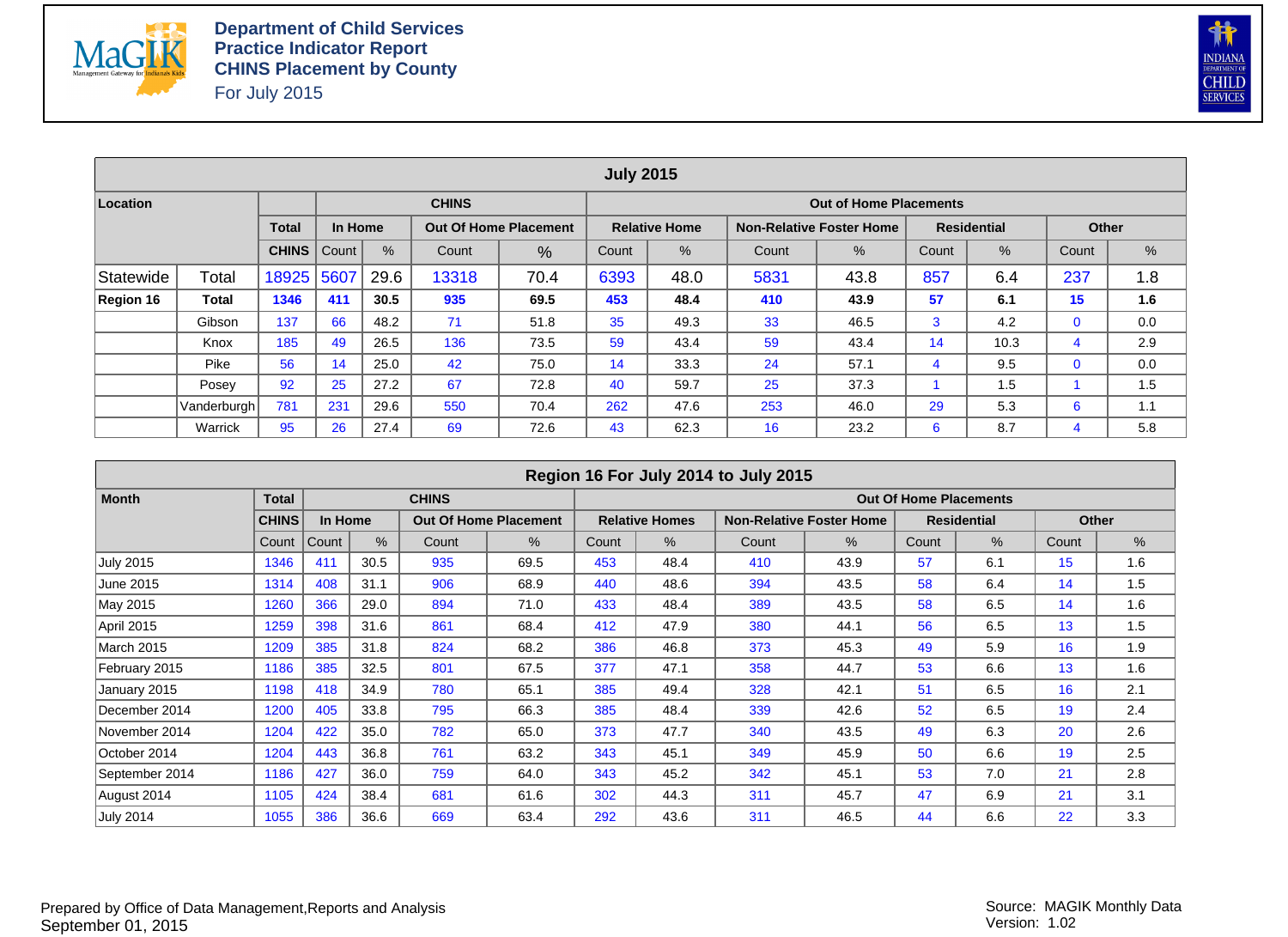



|           |             |              |         |      |                                                                           |                              | <b>July 2015</b> |                      |     |                                 |    |                    |             |     |  |  |
|-----------|-------------|--------------|---------|------|---------------------------------------------------------------------------|------------------------------|------------------|----------------------|-----|---------------------------------|----|--------------------|-------------|-----|--|--|
| Location  |             |              |         |      | <b>CHINS</b>                                                              |                              |                  |                      |     | <b>Out of Home Placements</b>   |    |                    |             |     |  |  |
|           |             | <b>Total</b> | In Home |      |                                                                           | <b>Out Of Home Placement</b> |                  | <b>Relative Home</b> |     | <b>Non-Relative Foster Home</b> |    | <b>Residential</b> | Other       |     |  |  |
|           |             | <b>CHINS</b> | Count   | %    | $\%$<br>%<br>%<br>Count<br>%<br>Count<br>Count<br>Count<br>Count<br>%     |                              |                  |                      |     |                                 |    |                    |             |     |  |  |
| Statewide | Total       | 18925        | 5607    | 29.6 | 237<br>857<br>13318<br>70.4<br>6393<br>48.0<br>5831<br>43.8<br>6.4<br>1.8 |                              |                  |                      |     |                                 |    |                    |             |     |  |  |
| Region 16 | Total       | 1346         | 411     | 30.5 | 935                                                                       | 69.5                         | 453              | 48.4                 | 410 | 43.9                            | 57 | 6.1                | 15          | 1.6 |  |  |
|           | Gibson      | 137          | 66      | 48.2 | 71                                                                        | 51.8                         | 35               | 49.3                 | 33  | 46.5                            | 3  | 4.2                | $\mathbf 0$ | 0.0 |  |  |
|           | Knox        | 185          | 49      | 26.5 | 136                                                                       | 73.5                         | 59               | 43.4                 | 59  | 43.4                            | 14 | 10.3               | 4           | 2.9 |  |  |
|           | Pike        | 56           | 14      | 25.0 | 42                                                                        | 75.0                         | 14               | 33.3                 | 24  | 57.1                            | 4  | 9.5                | $\mathbf 0$ | 0.0 |  |  |
|           | Posey       | 92           | 25      | 27.2 | 67                                                                        | 72.8                         | 40               | 59.7                 | 25  | 37.3                            |    | 1.5                |             | 1.5 |  |  |
|           | Vanderburgh | 781          | 231     | 29.6 | 550                                                                       | 70.4                         | 262              | 47.6                 | 253 | 46.0                            | 29 | 5.3                | 6           | 1.1 |  |  |
|           | Warrick     | 95           | 26      | 27.4 | 69                                                                        | 72.6                         | 43               | 62.3                 | 16  | 23.2                            | 6  | 8.7                | 4           | 5.8 |  |  |

|                   |              |         |      |              |                              |       |                       | Region 16 For July 2014 to July 2015 |                                 |                               |                    |       |       |
|-------------------|--------------|---------|------|--------------|------------------------------|-------|-----------------------|--------------------------------------|---------------------------------|-------------------------------|--------------------|-------|-------|
| <b>Month</b>      | <b>Total</b> |         |      | <b>CHINS</b> |                              |       |                       |                                      |                                 | <b>Out Of Home Placements</b> |                    |       |       |
|                   | <b>CHINS</b> | In Home |      |              | <b>Out Of Home Placement</b> |       | <b>Relative Homes</b> |                                      | <b>Non-Relative Foster Home</b> |                               | <b>Residential</b> |       | Other |
|                   | Count        | Count   | %    | Count        | %                            | Count | $\%$                  | Count                                | %                               | Count                         | %                  | Count | %     |
| <b>July 2015</b>  | 1346         | 411     | 30.5 | 935          | 69.5                         | 453   | 48.4                  | 410                                  | 43.9                            | 57                            | 6.1                | 15    | 1.6   |
| June 2015         | 1314         | 408     | 31.1 | 906          | 68.9                         | 440   | 48.6                  | 394                                  | 43.5                            | 58                            | 6.4                | 14    | 1.5   |
| May 2015          | 1260         | 366     | 29.0 | 894          | 71.0                         | 433   | 48.4                  | 389                                  | 43.5                            | 58                            | 6.5                | 14    | 1.6   |
| April 2015        | 1259         | 398     | 31.6 | 861          | 68.4                         | 412   | 47.9                  | 380                                  | 44.1                            | 56                            | 6.5                | 13    | 1.5   |
| <b>March 2015</b> | 1209         | 385     | 31.8 | 824          | 68.2                         | 386   | 46.8                  | 373                                  | 45.3                            | 49                            | 5.9                | 16    | 1.9   |
| February 2015     | 1186         | 385     | 32.5 | 801          | 67.5                         | 377   | 47.1                  | 358                                  | 44.7                            | 53                            | 6.6                | 13    | 1.6   |
| January 2015      | 1198         | 418     | 34.9 | 780          | 65.1                         | 385   | 49.4                  | 328                                  | 42.1                            | 51                            | 6.5                | 16    | 2.1   |
| December 2014     | 1200         | 405     | 33.8 | 795          | 66.3                         | 385   | 48.4                  | 339                                  | 42.6                            | 52                            | 6.5                | 19    | 2.4   |
| November 2014     | 1204         | 422     | 35.0 | 782          | 65.0                         | 373   | 47.7                  | 340                                  | 43.5                            | 49                            | 6.3                | 20    | 2.6   |
| October 2014      | 1204         | 443     | 36.8 | 761          | 63.2                         | 343   | 45.1                  | 349                                  | 45.9                            | 50                            | 6.6                | 19    | 2.5   |
| September 2014    | 1186         | 427     | 36.0 | 759          | 64.0                         | 343   | 45.2                  | 342                                  | 45.1                            | 53                            | 7.0                | 21    | 2.8   |
| August 2014       | 1105         | 424     | 38.4 | 681          | 61.6                         | 302   | 44.3                  | 311                                  | 45.7                            | 47                            | 6.9                | 21    | 3.1   |
| <b>July 2014</b>  | 1055         | 386     | 36.6 | 669          | 63.4                         | 292   | 43.6                  | 311                                  | 46.5                            | 44                            | 6.6                | 22    | 3.3   |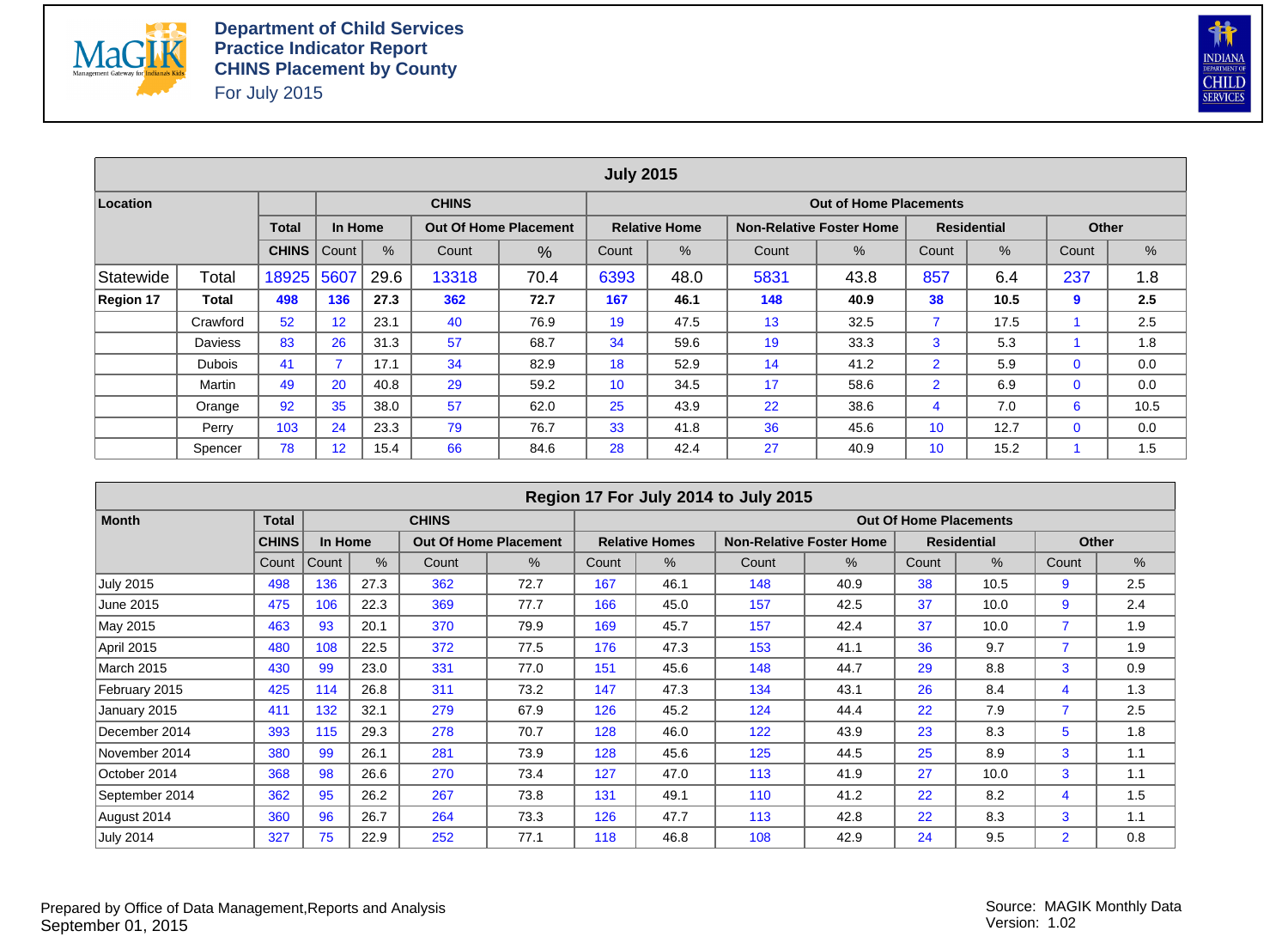



|                  |                |              |         |      |              |                              | <b>July 2015</b> |                      |       |                                 |                |                    |              |      |
|------------------|----------------|--------------|---------|------|--------------|------------------------------|------------------|----------------------|-------|---------------------------------|----------------|--------------------|--------------|------|
| Location         |                |              |         |      | <b>CHINS</b> |                              |                  |                      |       | <b>Out of Home Placements</b>   |                |                    |              |      |
|                  |                | <b>Total</b> | In Home |      |              | <b>Out Of Home Placement</b> |                  | <b>Relative Home</b> |       | <b>Non-Relative Foster Home</b> |                | <b>Residential</b> | <b>Other</b> |      |
|                  |                | <b>CHINS</b> | Count   | $\%$ | Count        | %                            | Count            | %                    | Count | %                               | Count          | %                  | Count        | %    |
| Statewide        | Total          | 18925        | 5607    | 29.6 | 13318        | 70.4                         | 6393             | 48.0                 | 5831  | 43.8                            | 857            | 6.4                | 237          | 1.8  |
| <b>Region 17</b> | Total          | 498          | 136     | 27.3 | 362          | 72.7                         | 167              | 46.1                 | 148   | 40.9                            | 38             | 10.5               | 9            | 2.5  |
|                  | Crawford       | 52           | 12      | 23.1 | 40           | 76.9                         | 19               | 47.5                 | 13    | 32.5                            | 7              | 17.5               |              | 2.5  |
|                  | <b>Daviess</b> | 83           | 26      | 31.3 | 57           | 68.7                         | 34               | 59.6                 | 19    | 33.3                            | 3              | 5.3                |              | 1.8  |
|                  | <b>Dubois</b>  | 41           |         | 17.1 | 34           | 82.9                         | 18               | 52.9                 | 14    | 41.2                            | $\overline{2}$ | 5.9                | $\mathbf 0$  | 0.0  |
|                  | Martin         | 49           | 20      | 40.8 | 29           | 59.2                         | 10               | 34.5                 | 17    | 58.6                            | $\overline{2}$ | 6.9                | $\mathbf 0$  | 0.0  |
|                  | Orange         | 92           | 35      | 38.0 | 57           | 62.0                         | 25               | 43.9                 | 22    | 38.6                            | 4              | 7.0                | 6            | 10.5 |
|                  | Perry          | 103          | 24      | 23.3 | 79           | 76.7                         | 33               | 41.8                 | 36    | 45.6                            | 10             | 12.7               | $\mathbf 0$  | 0.0  |
|                  | Spencer        | 78           | 12      | 15.4 | 66           | 84.6                         | 28               | 42.4                 | 27    | 40.9                            | 10             | 15.2               |              | 1.5  |

|                  |              |         |      |              |                              |       |                       | Region 17 For July 2014 to July 2015 |                                 |                               |                    |                |       |
|------------------|--------------|---------|------|--------------|------------------------------|-------|-----------------------|--------------------------------------|---------------------------------|-------------------------------|--------------------|----------------|-------|
| <b>Month</b>     | <b>Total</b> |         |      | <b>CHINS</b> |                              |       |                       |                                      |                                 | <b>Out Of Home Placements</b> |                    |                |       |
|                  | <b>CHINS</b> | In Home |      |              | <b>Out Of Home Placement</b> |       | <b>Relative Homes</b> |                                      | <b>Non-Relative Foster Home</b> |                               | <b>Residential</b> |                | Other |
|                  | Count        | Count   | $\%$ | Count        | %                            | Count | $\%$                  | Count                                | $\%$                            | Count                         | $\%$               | Count          | %     |
| <b>July 2015</b> | 498          | 136     | 27.3 | 362          | 72.7                         | 167   | 46.1                  | 148                                  | 40.9                            | 38                            | 10.5               | 9              | 2.5   |
| June 2015        | 475          | 106     | 22.3 | 369          | 77.7                         | 166   | 45.0                  | 157                                  | 42.5                            | 37                            | 10.0               | 9              | 2.4   |
| May 2015         | 463          | 93      | 20.1 | 370          | 79.9                         | 169   | 45.7                  | 157                                  | 42.4                            | 37                            | 10.0               |                | 1.9   |
| April 2015       | 480          | 108     | 22.5 | 372          | 77.5                         | 176   | 47.3                  | 153                                  | 41.1                            | 36                            | 9.7                | $\overline{7}$ | 1.9   |
| March 2015       | 430          | 99      | 23.0 | 331          | 77.0                         | 151   | 45.6                  | 148                                  | 44.7                            | 29                            | 8.8                | 3              | 0.9   |
| February 2015    | 425          | 114     | 26.8 | 311          | 73.2                         | 147   | 47.3                  | 134                                  | 43.1                            | 26                            | 8.4                | 4              | 1.3   |
| January 2015     | 411          | 132     | 32.1 | 279          | 67.9                         | 126   | 45.2                  | 124                                  | 44.4                            | 22                            | 7.9                | $\overline{7}$ | 2.5   |
| December 2014    | 393          | 115     | 29.3 | 278          | 70.7                         | 128   | 46.0                  | 122                                  | 43.9                            | 23                            | 8.3                | 5              | 1.8   |
| November 2014    | 380          | 99      | 26.1 | 281          | 73.9                         | 128   | 45.6                  | 125                                  | 44.5                            | 25                            | 8.9                | 3              | 1.1   |
| October 2014     | 368          | 98      | 26.6 | 270          | 73.4                         | 127   | 47.0                  | 113                                  | 41.9                            | 27                            | 10.0               | 3              | 1.1   |
| September 2014   | 362          | 95      | 26.2 | 267          | 73.8                         | 131   | 49.1                  | 110                                  | 41.2                            | 22                            | 8.2                | 4              | 1.5   |
| August 2014      | 360          | 96      | 26.7 | 264          | 73.3                         | 126   | 47.7                  | 113                                  | 42.8                            | 22                            | 8.3                | 3              | 1.1   |
| <b>July 2014</b> | 327          | 75      | 22.9 | 252          | 77.1                         | 118   | 46.8                  | 108                                  | 42.9                            | 24                            | 9.5                | $\overline{2}$ | 0.8   |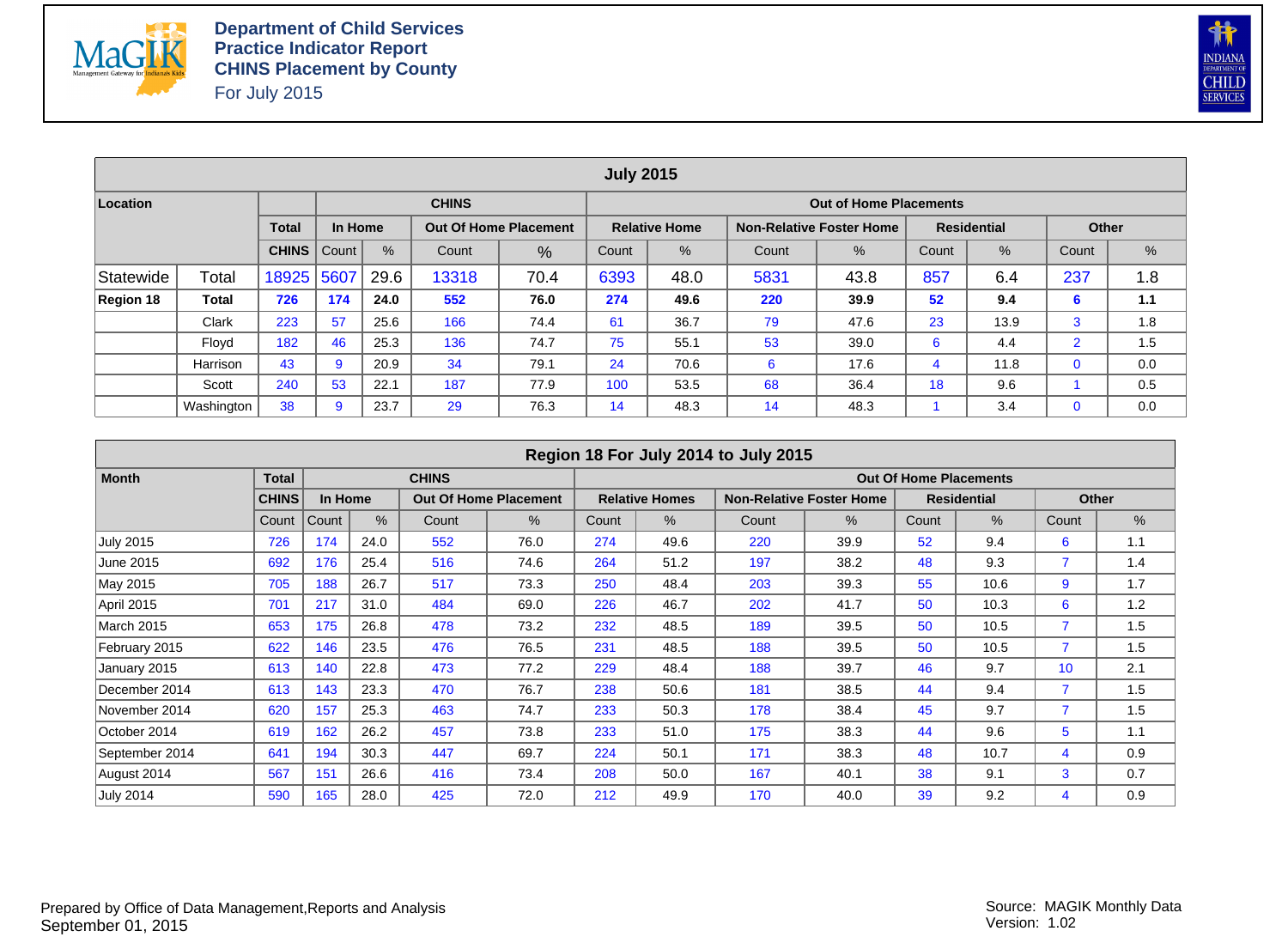



|           |            |              |         |      |                                                                                      |                                                                  | <b>July 2015</b> |                      |     |                                 |    |                    |                |     |  |  |  |
|-----------|------------|--------------|---------|------|--------------------------------------------------------------------------------------|------------------------------------------------------------------|------------------|----------------------|-----|---------------------------------|----|--------------------|----------------|-----|--|--|--|
| Location  |            |              |         |      | <b>CHINS</b>                                                                         |                                                                  |                  |                      |     | <b>Out of Home Placements</b>   |    |                    |                |     |  |  |  |
|           |            | <b>Total</b> | In Home |      |                                                                                      | <b>Out Of Home Placement</b>                                     |                  | <b>Relative Home</b> |     | <b>Non-Relative Foster Home</b> |    | <b>Residential</b> | Other          |     |  |  |  |
|           |            | <b>CHINS</b> | Count   | %    | $\%$<br>$\%$<br>%<br>$\frac{9}{6}$<br>Count<br>Count<br>Count<br>Count<br>%<br>Count |                                                                  |                  |                      |     |                                 |    |                    |                |     |  |  |  |
| Statewide | Total      | 18925        | 5607    | 29.6 | 13318                                                                                | 857<br>237<br>6393<br>5831<br>70.4<br>48.0<br>43.8<br>6.4<br>1.8 |                  |                      |     |                                 |    |                    |                |     |  |  |  |
| Region 18 | Total      | 726          | 174     | 24.0 | 552                                                                                  | 76.0                                                             | 274              | 49.6                 | 220 | 39.9                            | 52 | 9.4                | 6              | 1.1 |  |  |  |
|           | Clark      | 223          | 57      | 25.6 | 166                                                                                  | 74.4                                                             | 61               | 36.7                 | 79  | 47.6                            | 23 | 13.9               | 3              | 1.8 |  |  |  |
|           | Flovd      | 182          | 46      | 25.3 | 136                                                                                  | 74.7                                                             | 75               | 55.1                 | 53  | 39.0                            | 6  | 4.4                | $\overline{2}$ | 1.5 |  |  |  |
|           | Harrison   | 43           | 9       | 20.9 | 34                                                                                   | 79.1                                                             | 24               | 70.6                 | 6   | 17.6                            | 4  | 11.8               | $\mathbf 0$    | 0.0 |  |  |  |
|           | Scott      | 240          | 53      | 22.1 | 187                                                                                  | 77.9                                                             | 100              | 53.5                 | 68  | 36.4                            | 18 | 9.6                |                | 0.5 |  |  |  |
|           | Washington | 38           | 9       | 23.7 | 29                                                                                   | 76.3                                                             | 14               | 48.3                 | 14  | 48.3                            |    | 3.4                | $\mathbf 0$    | 0.0 |  |  |  |

|                   |              |         |      |              |                              |       |                       | Region 18 For July 2014 to July 2015 |                                 |       |                               |                |              |
|-------------------|--------------|---------|------|--------------|------------------------------|-------|-----------------------|--------------------------------------|---------------------------------|-------|-------------------------------|----------------|--------------|
| <b>Month</b>      | <b>Total</b> |         |      | <b>CHINS</b> |                              |       |                       |                                      |                                 |       | <b>Out Of Home Placements</b> |                |              |
|                   | <b>CHINS</b> | In Home |      |              | <b>Out Of Home Placement</b> |       | <b>Relative Homes</b> |                                      | <b>Non-Relative Foster Home</b> |       | <b>Residential</b>            |                | <b>Other</b> |
|                   | Count        | Count   | $\%$ | Count        | $\%$                         | Count | $\%$                  | Count                                | $\%$                            | Count | $\%$                          | Count          | $\%$         |
| <b>July 2015</b>  | 726          | 174     | 24.0 | 552          | 76.0                         | 274   | 49.6                  | 220                                  | 39.9                            | 52    | 9.4                           | 6              | 1.1          |
| June 2015         | 692          | 176     | 25.4 | 516          | 74.6                         | 264   | 51.2                  | 197                                  | 38.2                            | 48    | 9.3                           |                | 1.4          |
| May 2015          | 705          | 188     | 26.7 | 517          | 73.3                         | 250   | 48.4                  | 203                                  | 39.3                            | 55    | 10.6                          | 9              | 1.7          |
| April 2015        | 701          | 217     | 31.0 | 484          | 69.0                         | 226   | 46.7                  | 202                                  | 41.7                            | 50    | 10.3                          | 6              | 1.2          |
| <b>March 2015</b> | 653          | 175     | 26.8 | 478          | 73.2                         | 232   | 48.5                  | 189                                  | 39.5                            | 50    | 10.5                          | $\overline{7}$ | 1.5          |
| February 2015     | 622          | 146     | 23.5 | 476          | 76.5                         | 231   | 48.5                  | 188                                  | 39.5                            | 50    | 10.5                          |                | 1.5          |
| January 2015      | 613          | 140     | 22.8 | 473          | 77.2                         | 229   | 48.4                  | 188                                  | 39.7                            | 46    | 9.7                           | 10             | 2.1          |
| December 2014     | 613          | 143     | 23.3 | 470          | 76.7                         | 238   | 50.6                  | 181                                  | 38.5                            | 44    | 9.4                           |                | 1.5          |
| November 2014     | 620          | 157     | 25.3 | 463          | 74.7                         | 233   | 50.3                  | 178                                  | 38.4                            | 45    | 9.7                           |                | 1.5          |
| October 2014      | 619          | 162     | 26.2 | 457          | 73.8                         | 233   | 51.0                  | 175                                  | 38.3                            | 44    | 9.6                           | 5              | 1.1          |
| September 2014    | 641          | 194     | 30.3 | 447          | 69.7                         | 224   | 50.1                  | 171                                  | 38.3                            | 48    | 10.7                          | 4              | 0.9          |
| August 2014       | 567          | 151     | 26.6 | 416          | 73.4                         | 208   | 50.0                  | 167                                  | 40.1                            | 38    | 9.1                           | 3              | 0.7          |
| <b>July 2014</b>  | 590          | 165     | 28.0 | 425          | 72.0                         | 212   | 49.9                  | 170                                  | 40.0                            | 39    | 9.2                           | 4              | 0.9          |